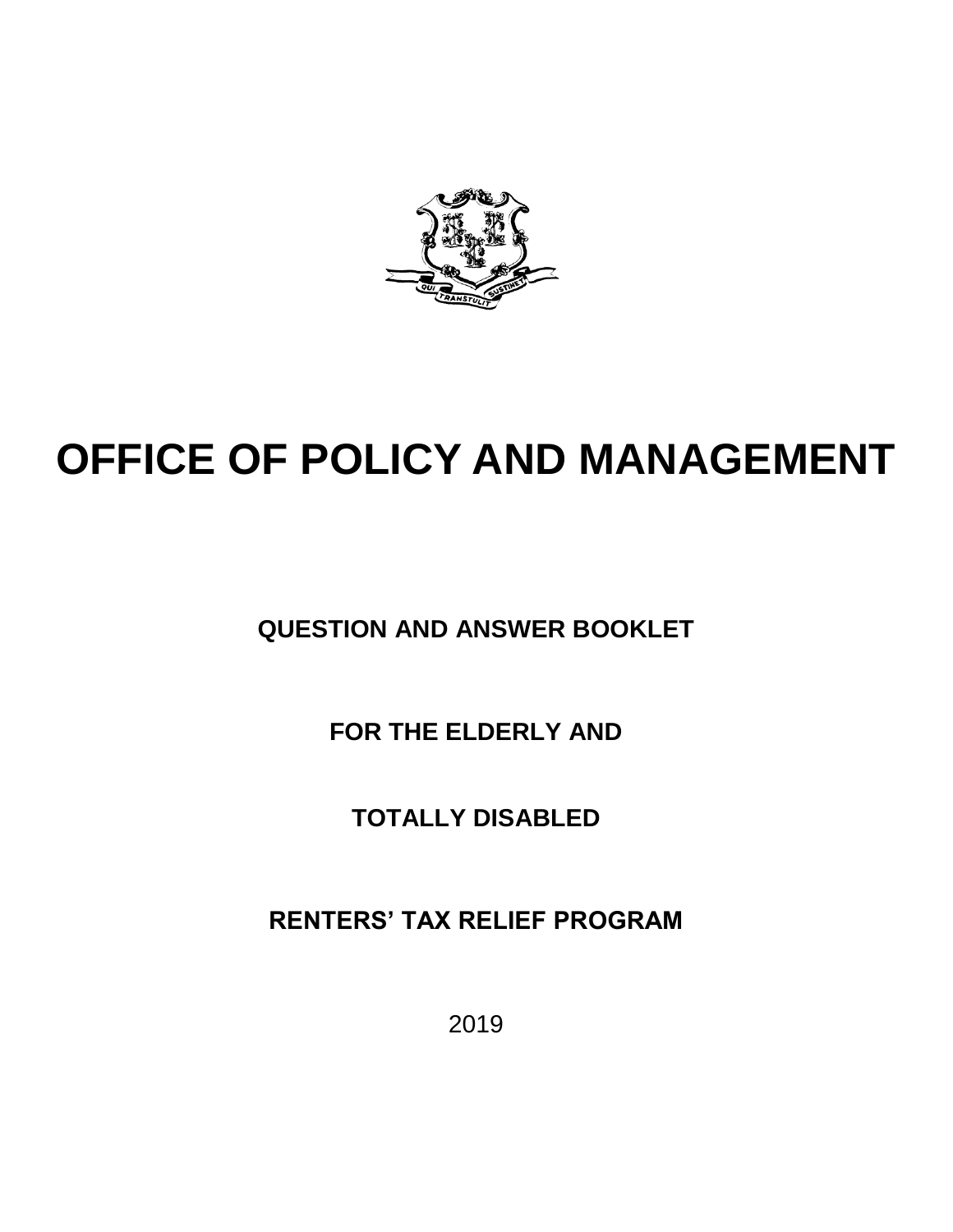

# **OFFICE OF POLICY AND MANAGEMENT**

**QUESTION AND ANSWER BOOKLET**

**FOR THE ELDERLY AND**

**TOTALLY DISABLED**

**RENTERS' TAX RELIEF PROGRAM**

2019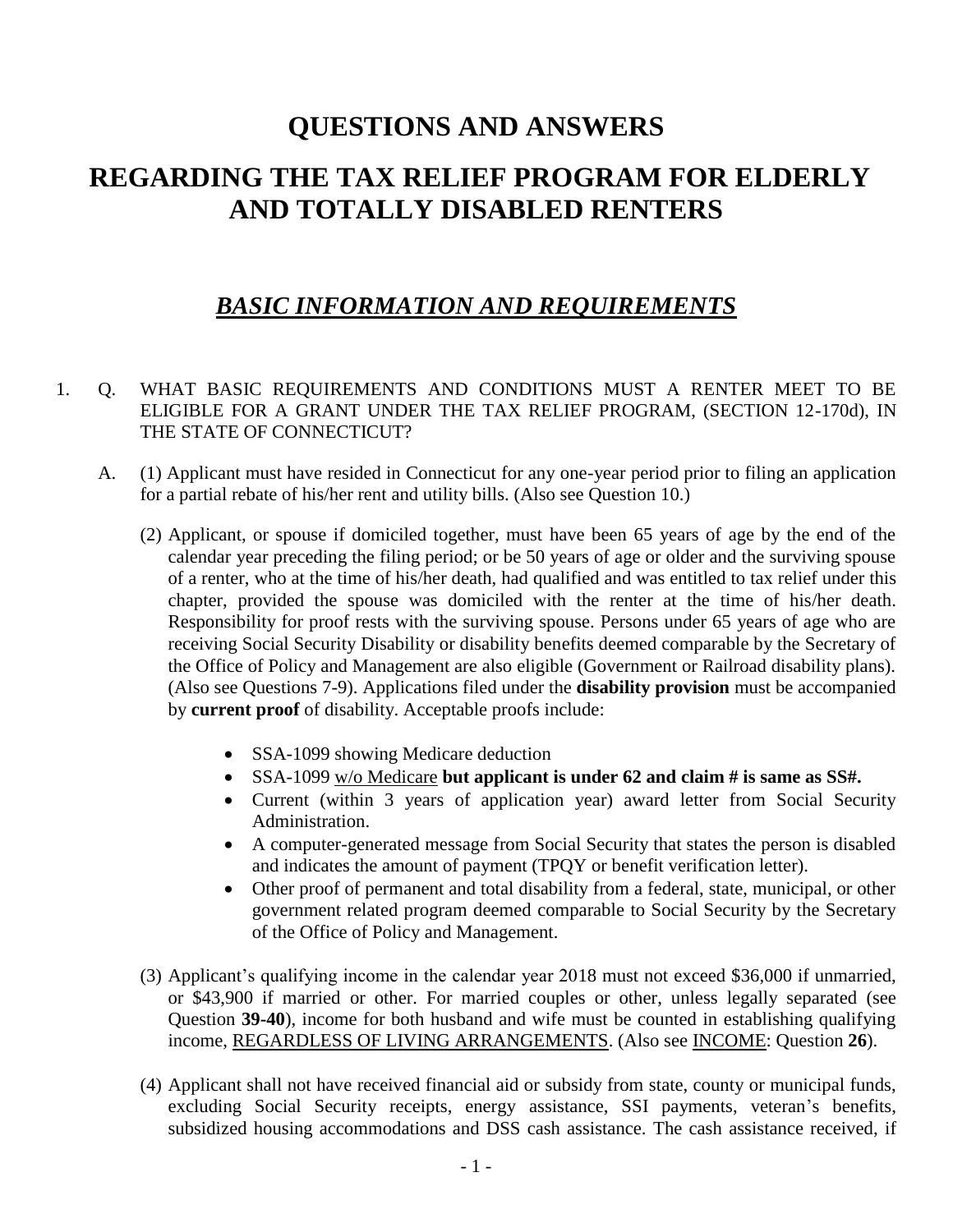# **QUESTIONS AND ANSWERS REGARDING THE TAX RELIEF PROGRAM FOR ELDERLY AND TOTALLY DISABLED RENTERS**

### *BASIC INFORMATION AND REQUIREMENTS*

- 1. Q. WHAT BASIC REQUIREMENTS AND CONDITIONS MUST A RENTER MEET TO BE ELIGIBLE FOR A GRANT UNDER THE TAX RELIEF PROGRAM, (SECTION 12-170d), IN THE STATE OF CONNECTICUT?
	- A. (1) Applicant must have resided in Connecticut for any one-year period prior to filing an application for a partial rebate of his/her rent and utility bills. (Also see Question 10.)
		- (2) Applicant, or spouse if domiciled together, must have been 65 years of age by the end of the calendar year preceding the filing period; or be 50 years of age or older and the surviving spouse of a renter, who at the time of his/her death, had qualified and was entitled to tax relief under this chapter, provided the spouse was domiciled with the renter at the time of his/her death. Responsibility for proof rests with the surviving spouse. Persons under 65 years of age who are receiving Social Security Disability or disability benefits deemed comparable by the Secretary of the Office of Policy and Management are also eligible (Government or Railroad disability plans). (Also see Questions 7-9). Applications filed under the **disability provision** must be accompanied by **current proof** of disability. Acceptable proofs include:
			- SSA-1099 showing Medicare deduction
			- SSA-1099 w/o Medicare **but applicant is under 62 and claim # is same as SS#.**
			- Current (within 3 years of application year) award letter from Social Security Administration.
			- A computer-generated message from Social Security that states the person is disabled and indicates the amount of payment (TPQY or benefit verification letter).
			- Other proof of permanent and total disability from a federal, state, municipal, or other government related program deemed comparable to Social Security by the Secretary of the Office of Policy and Management.
		- (3) Applicant's qualifying income in the calendar year 2018 must not exceed \$36,000 if unmarried, or \$43,900 if married or other. For married couples or other, unless legally separated (see Question **39-40**), income for both husband and wife must be counted in establishing qualifying income, REGARDLESS OF LIVING ARRANGEMENTS. (Also see INCOME: Question **26**).
		- (4) Applicant shall not have received financial aid or subsidy from state, county or municipal funds, excluding Social Security receipts, energy assistance, SSI payments, veteran's benefits, subsidized housing accommodations and DSS cash assistance. The cash assistance received, if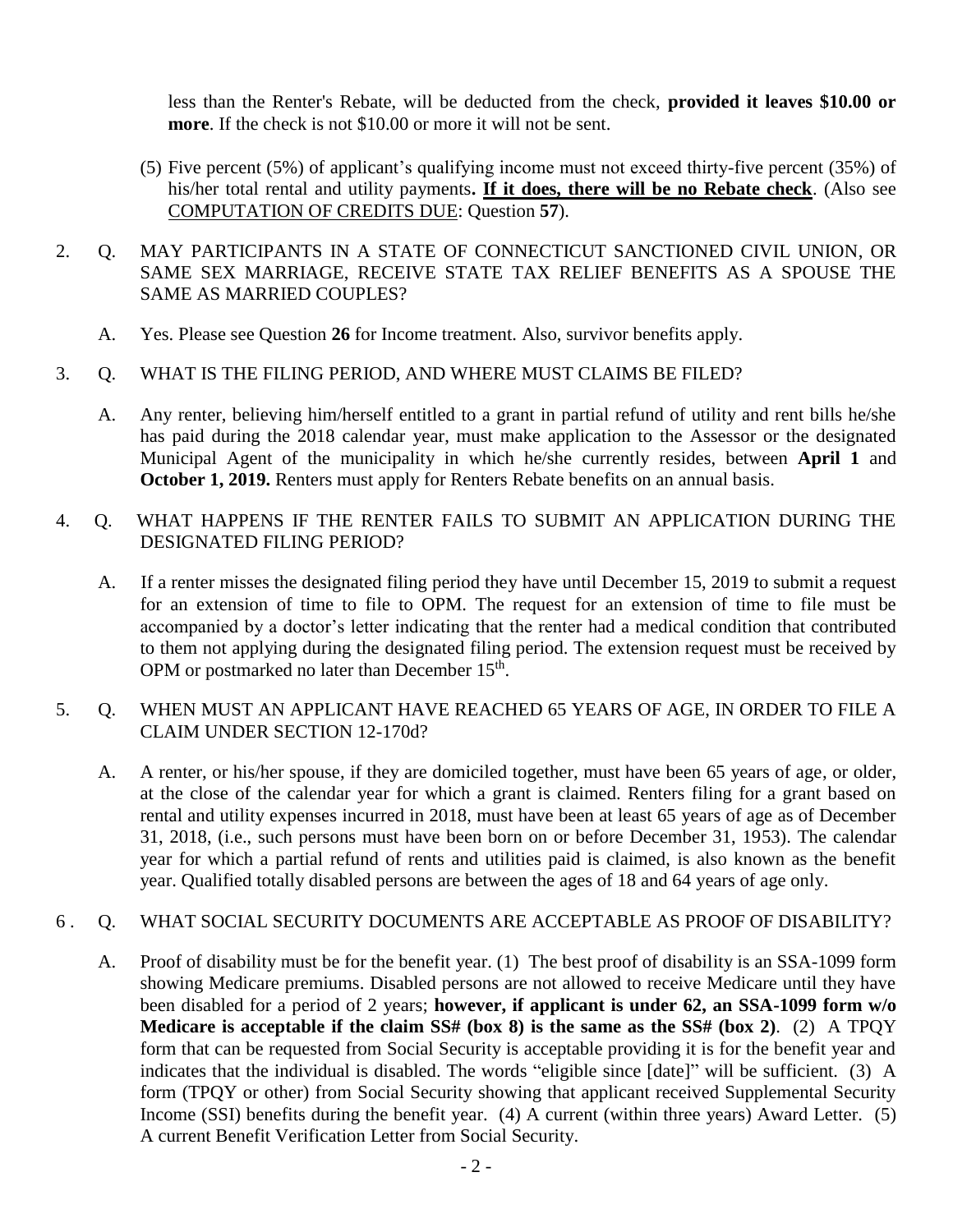less than the Renter's Rebate, will be deducted from the check, **provided it leaves \$10.00 or more**. If the check is not \$10.00 or more it will not be sent.

- (5) Five percent (5%) of applicant's qualifying income must not exceed thirty-five percent (35%) of his/her total rental and utility payments**. If it does, there will be no Rebate check**. (Also see COMPUTATION OF CREDITS DUE: Question **57**).
- 2. Q. MAY PARTICIPANTS IN A STATE OF CONNECTICUT SANCTIONED CIVIL UNION, OR SAME SEX MARRIAGE, RECEIVE STATE TAX RELIEF BENEFITS AS A SPOUSE THE SAME AS MARRIED COUPLES?
	- A. Yes. Please see Question **26** for Income treatment. Also, survivor benefits apply.

#### 3. Q. WHAT IS THE FILING PERIOD, AND WHERE MUST CLAIMS BE FILED?

- A. Any renter, believing him/herself entitled to a grant in partial refund of utility and rent bills he/she has paid during the 2018 calendar year, must make application to the Assessor or the designated Municipal Agent of the municipality in which he/she currently resides, between **April 1** and **October 1, 2019.** Renters must apply for Renters Rebate benefits on an annual basis.
- 4. Q. WHAT HAPPENS IF THE RENTER FAILS TO SUBMIT AN APPLICATION DURING THE DESIGNATED FILING PERIOD?
	- A. If a renter misses the designated filing period they have until December 15, 2019 to submit a request for an extension of time to file to OPM. The request for an extension of time to file must be accompanied by a doctor's letter indicating that the renter had a medical condition that contributed to them not applying during the designated filing period. The extension request must be received by OPM or postmarked no later than December 15<sup>th</sup>.
- 5. Q. WHEN MUST AN APPLICANT HAVE REACHED 65 YEARS OF AGE, IN ORDER TO FILE A CLAIM UNDER SECTION 12-170d?
	- A. A renter, or his/her spouse, if they are domiciled together, must have been 65 years of age, or older, at the close of the calendar year for which a grant is claimed. Renters filing for a grant based on rental and utility expenses incurred in 2018, must have been at least 65 years of age as of December 31, 2018, (i.e., such persons must have been born on or before December 31, 1953). The calendar year for which a partial refund of rents and utilities paid is claimed, is also known as the benefit year. Qualified totally disabled persons are between the ages of 18 and 64 years of age only.

#### 6 . Q. WHAT SOCIAL SECURITY DOCUMENTS ARE ACCEPTABLE AS PROOF OF DISABILITY?

A. Proof of disability must be for the benefit year. (1) The best proof of disability is an SSA-1099 form showing Medicare premiums. Disabled persons are not allowed to receive Medicare until they have been disabled for a period of 2 years; **however, if applicant is under 62, an SSA-1099 form w/o Medicare is acceptable if the claim SS# (box 8) is the same as the SS# (box 2)**. (2) A TPQY form that can be requested from Social Security is acceptable providing it is for the benefit year and indicates that the individual is disabled. The words "eligible since [date]" will be sufficient. (3) A form (TPQY or other) from Social Security showing that applicant received Supplemental Security Income (SSI) benefits during the benefit year. (4) A current (within three years) Award Letter. (5) A current Benefit Verification Letter from Social Security.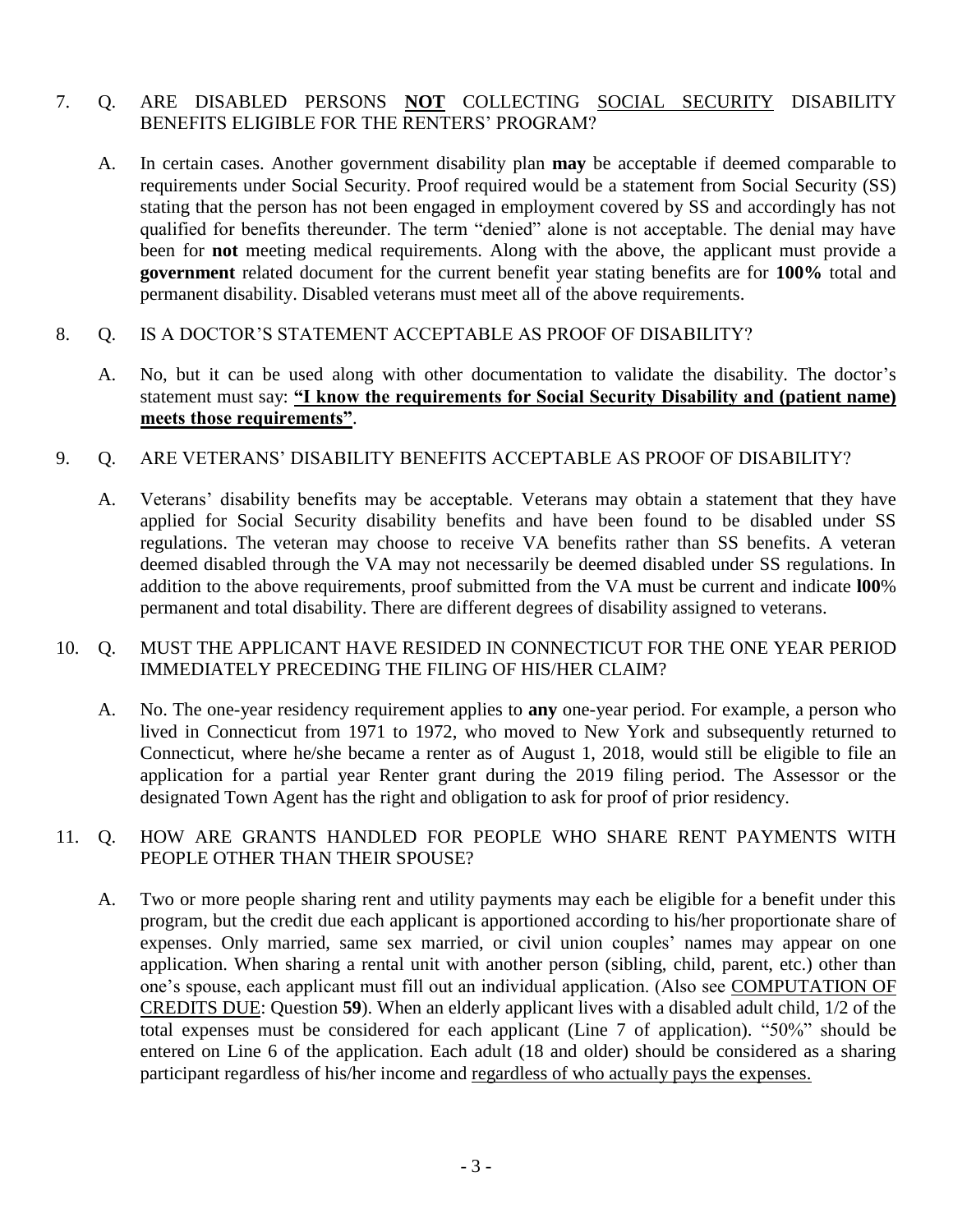#### 7. Q. ARE DISABLED PERSONS **NOT** COLLECTING SOCIAL SECURITY DISABILITY BENEFITS ELIGIBLE FOR THE RENTERS' PROGRAM?

A. In certain cases. Another government disability plan **may** be acceptable if deemed comparable to requirements under Social Security. Proof required would be a statement from Social Security (SS) stating that the person has not been engaged in employment covered by SS and accordingly has not qualified for benefits thereunder. The term "denied" alone is not acceptable. The denial may have been for **not** meeting medical requirements. Along with the above, the applicant must provide a **government** related document for the current benefit year stating benefits are for **100%** total and permanent disability. Disabled veterans must meet all of the above requirements.

#### 8. Q. IS A DOCTOR'S STATEMENT ACCEPTABLE AS PROOF OF DISABILITY?

A. No, but it can be used along with other documentation to validate the disability. The doctor's statement must say: **"I know the requirements for Social Security Disability and (patient name) meets those requirements"**.

#### 9. Q. ARE VETERANS' DISABILITY BENEFITS ACCEPTABLE AS PROOF OF DISABILITY?

A. Veterans' disability benefits may be acceptable. Veterans may obtain a statement that they have applied for Social Security disability benefits and have been found to be disabled under SS regulations. The veteran may choose to receive VA benefits rather than SS benefits. A veteran deemed disabled through the VA may not necessarily be deemed disabled under SS regulations. In addition to the above requirements, proof submitted from the VA must be current and indicate **l00**% permanent and total disability. There are different degrees of disability assigned to veterans.

#### 10. Q. MUST THE APPLICANT HAVE RESIDED IN CONNECTICUT FOR THE ONE YEAR PERIOD IMMEDIATELY PRECEDING THE FILING OF HIS/HER CLAIM?

A. No. The one-year residency requirement applies to **any** one-year period. For example, a person who lived in Connecticut from 1971 to 1972, who moved to New York and subsequently returned to Connecticut, where he/she became a renter as of August 1, 2018, would still be eligible to file an application for a partial year Renter grant during the 2019 filing period. The Assessor or the designated Town Agent has the right and obligation to ask for proof of prior residency.

#### 11. Q. HOW ARE GRANTS HANDLED FOR PEOPLE WHO SHARE RENT PAYMENTS WITH PEOPLE OTHER THAN THEIR SPOUSE?

A. Two or more people sharing rent and utility payments may each be eligible for a benefit under this program, but the credit due each applicant is apportioned according to his/her proportionate share of expenses. Only married, same sex married, or civil union couples' names may appear on one application. When sharing a rental unit with another person (sibling, child, parent, etc.) other than one's spouse, each applicant must fill out an individual application. (Also see COMPUTATION OF CREDITS DUE: Question **59**). When an elderly applicant lives with a disabled adult child, 1/2 of the total expenses must be considered for each applicant (Line 7 of application). "50%" should be entered on Line 6 of the application. Each adult (18 and older) should be considered as a sharing participant regardless of his/her income and regardless of who actually pays the expenses.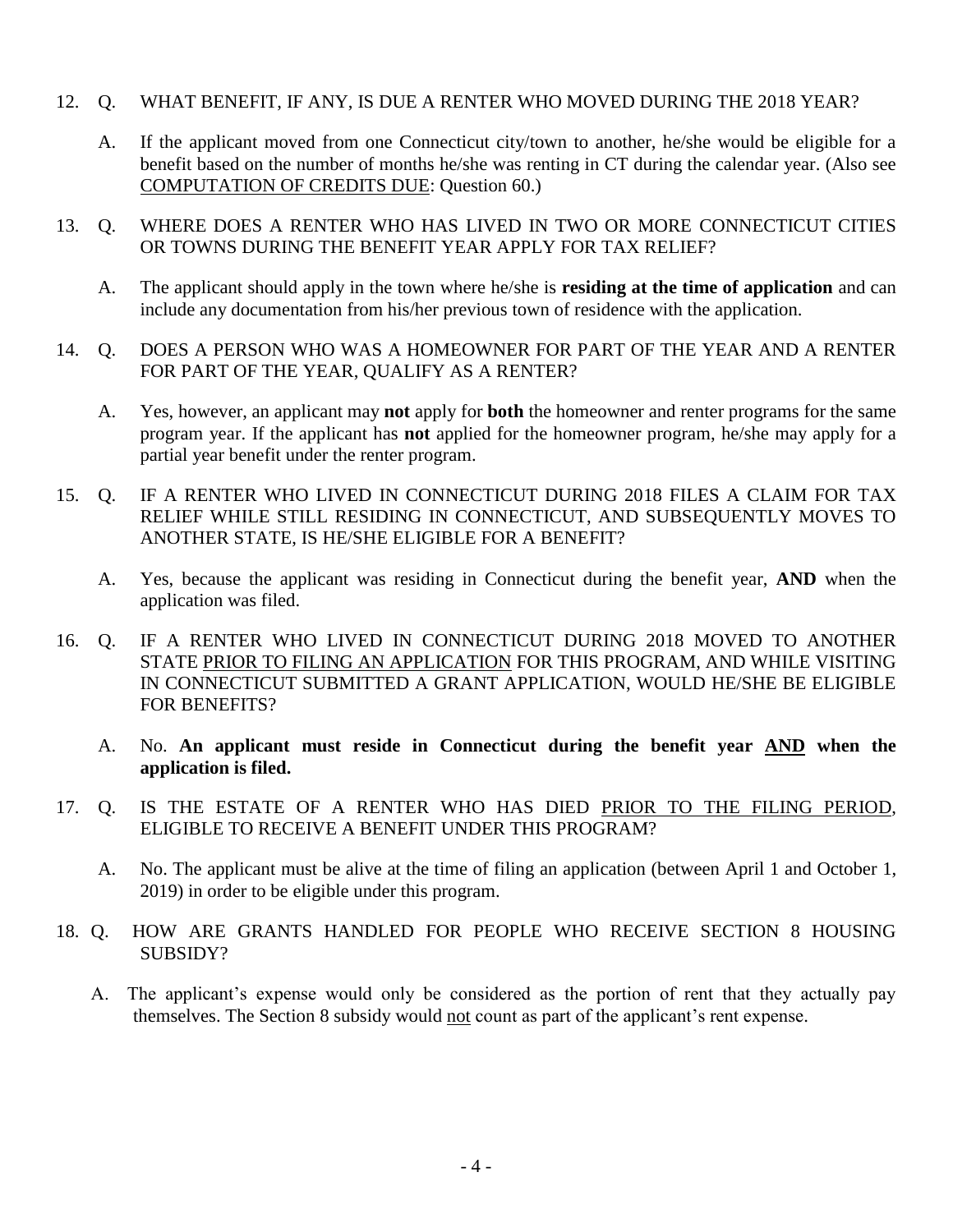- 12. Q. WHAT BENEFIT, IF ANY, IS DUE A RENTER WHO MOVED DURING THE 2018 YEAR?
	- A. If the applicant moved from one Connecticut city/town to another, he/she would be eligible for a benefit based on the number of months he/she was renting in CT during the calendar year. (Also see COMPUTATION OF CREDITS DUE: Question 60.)
- 13. Q. WHERE DOES A RENTER WHO HAS LIVED IN TWO OR MORE CONNECTICUT CITIES OR TOWNS DURING THE BENEFIT YEAR APPLY FOR TAX RELIEF?
	- A. The applicant should apply in the town where he/she is **residing at the time of application** and can include any documentation from his/her previous town of residence with the application.
- 14. Q. DOES A PERSON WHO WAS A HOMEOWNER FOR PART OF THE YEAR AND A RENTER FOR PART OF THE YEAR, QUALIFY AS A RENTER?
	- A. Yes, however, an applicant may **not** apply for **both** the homeowner and renter programs for the same program year. If the applicant has **not** applied for the homeowner program, he/she may apply for a partial year benefit under the renter program.
- 15. Q. IF A RENTER WHO LIVED IN CONNECTICUT DURING 2018 FILES A CLAIM FOR TAX RELIEF WHILE STILL RESIDING IN CONNECTICUT, AND SUBSEQUENTLY MOVES TO ANOTHER STATE, IS HE/SHE ELIGIBLE FOR A BENEFIT?
	- A. Yes, because the applicant was residing in Connecticut during the benefit year, **AND** when the application was filed.
- 16. Q. IF A RENTER WHO LIVED IN CONNECTICUT DURING 2018 MOVED TO ANOTHER STATE PRIOR TO FILING AN APPLICATION FOR THIS PROGRAM, AND WHILE VISITING IN CONNECTICUT SUBMITTED A GRANT APPLICATION, WOULD HE/SHE BE ELIGIBLE FOR BENEFITS?
	- A. No. **An applicant must reside in Connecticut during the benefit year AND when the application is filed.**
- 17. Q. IS THE ESTATE OF A RENTER WHO HAS DIED PRIOR TO THE FILING PERIOD, ELIGIBLE TO RECEIVE A BENEFIT UNDER THIS PROGRAM?
	- A. No. The applicant must be alive at the time of filing an application (between April 1 and October 1, 2019) in order to be eligible under this program.
- 18. Q. HOW ARE GRANTS HANDLED FOR PEOPLE WHO RECEIVE SECTION 8 HOUSING SUBSIDY?
	- A. The applicant's expense would only be considered as the portion of rent that they actually pay themselves. The Section 8 subsidy would not count as part of the applicant's rent expense.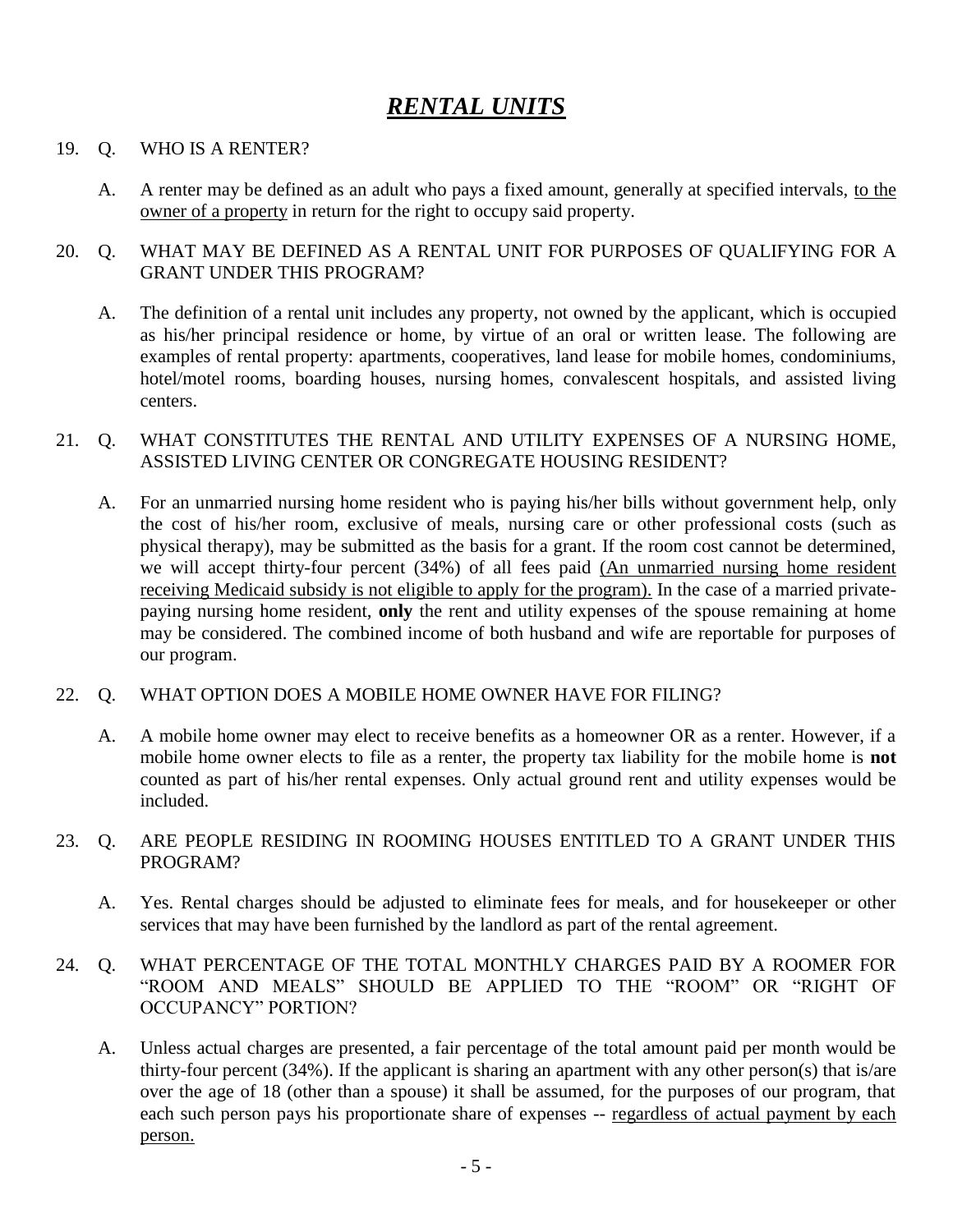### *RENTAL UNITS*

#### 19. Q. WHO IS A RENTER?

A. A renter may be defined as an adult who pays a fixed amount, generally at specified intervals, to the owner of a property in return for the right to occupy said property.

#### 20. Q. WHAT MAY BE DEFINED AS A RENTAL UNIT FOR PURPOSES OF QUALIFYING FOR A GRANT UNDER THIS PROGRAM?

A. The definition of a rental unit includes any property, not owned by the applicant, which is occupied as his/her principal residence or home, by virtue of an oral or written lease. The following are examples of rental property: apartments, cooperatives, land lease for mobile homes, condominiums, hotel/motel rooms, boarding houses, nursing homes, convalescent hospitals, and assisted living centers.

#### 21. Q. WHAT CONSTITUTES THE RENTAL AND UTILITY EXPENSES OF A NURSING HOME, ASSISTED LIVING CENTER OR CONGREGATE HOUSING RESIDENT?

A. For an unmarried nursing home resident who is paying his/her bills without government help, only the cost of his/her room, exclusive of meals, nursing care or other professional costs (such as physical therapy), may be submitted as the basis for a grant. If the room cost cannot be determined, we will accept thirty-four percent (34%) of all fees paid (An unmarried nursing home resident receiving Medicaid subsidy is not eligible to apply for the program). In the case of a married privatepaying nursing home resident, **only** the rent and utility expenses of the spouse remaining at home may be considered. The combined income of both husband and wife are reportable for purposes of our program.

#### 22. Q. WHAT OPTION DOES A MOBILE HOME OWNER HAVE FOR FILING?

A. A mobile home owner may elect to receive benefits as a homeowner OR as a renter. However, if a mobile home owner elects to file as a renter, the property tax liability for the mobile home is **not** counted as part of his/her rental expenses. Only actual ground rent and utility expenses would be included.

#### 23. Q. ARE PEOPLE RESIDING IN ROOMING HOUSES ENTITLED TO A GRANT UNDER THIS PROGRAM?

- A. Yes. Rental charges should be adjusted to eliminate fees for meals, and for housekeeper or other services that may have been furnished by the landlord as part of the rental agreement.
- 24. Q. WHAT PERCENTAGE OF THE TOTAL MONTHLY CHARGES PAID BY A ROOMER FOR "ROOM AND MEALS" SHOULD BE APPLIED TO THE "ROOM" OR "RIGHT OF OCCUPANCY" PORTION?
	- A. Unless actual charges are presented, a fair percentage of the total amount paid per month would be thirty-four percent (34%). If the applicant is sharing an apartment with any other person(s) that is/are over the age of 18 (other than a spouse) it shall be assumed, for the purposes of our program, that each such person pays his proportionate share of expenses -- regardless of actual payment by each person.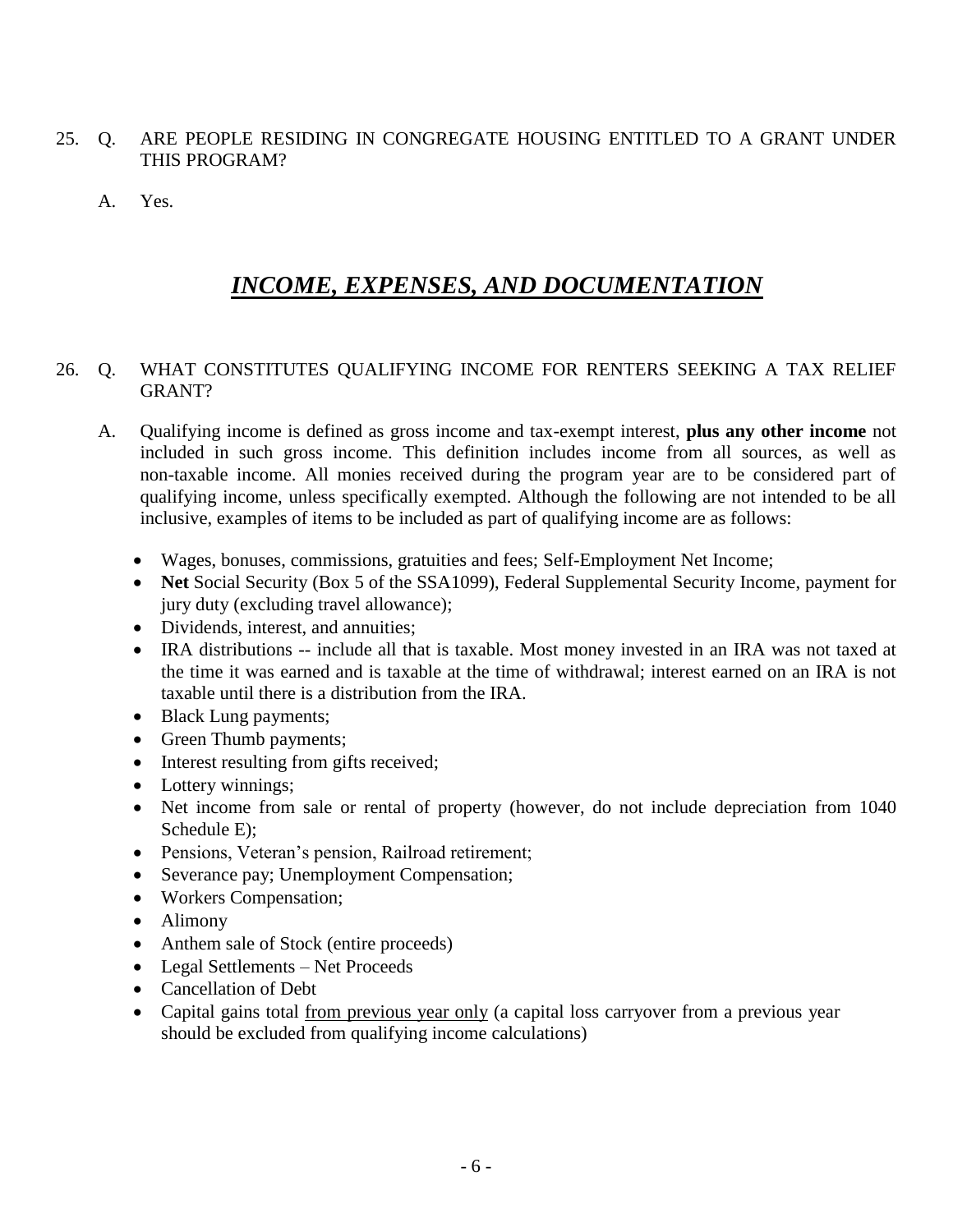- 25. Q. ARE PEOPLE RESIDING IN CONGREGATE HOUSING ENTITLED TO A GRANT UNDER THIS PROGRAM?
	- A. Yes.

### *INCOME, EXPENSES, AND DOCUMENTATION*

#### 26. Q. WHAT CONSTITUTES QUALIFYING INCOME FOR RENTERS SEEKING A TAX RELIEF GRANT?

- A. Qualifying income is defined as gross income and tax-exempt interest, **plus any other income** not included in such gross income. This definition includes income from all sources, as well as non-taxable income. All monies received during the program year are to be considered part of qualifying income, unless specifically exempted. Although the following are not intended to be all inclusive, examples of items to be included as part of qualifying income are as follows:
	- Wages, bonuses, commissions, gratuities and fees; Self-Employment Net Income;
	- Net Social Security (Box 5 of the SSA1099), Federal Supplemental Security Income, payment for jury duty (excluding travel allowance);
	- Dividends, interest, and annuities:
	- IRA distributions -- include all that is taxable. Most money invested in an IRA was not taxed at the time it was earned and is taxable at the time of withdrawal; interest earned on an IRA is not taxable until there is a distribution from the IRA.
	- Black Lung payments;
	- Green Thumb payments;
	- Interest resulting from gifts received;
	- Lottery winnings;
	- Net income from sale or rental of property (however, do not include depreciation from 1040 Schedule E);
	- Pensions, Veteran's pension, Railroad retirement;
	- Severance pay; Unemployment Compensation;
	- Workers Compensation;
	- Alimony
	- Anthem sale of Stock (entire proceeds)
	- Legal Settlements Net Proceeds
	- Cancellation of Debt
	- Capital gains total from previous year only (a capital loss carryover from a previous year should be excluded from qualifying income calculations)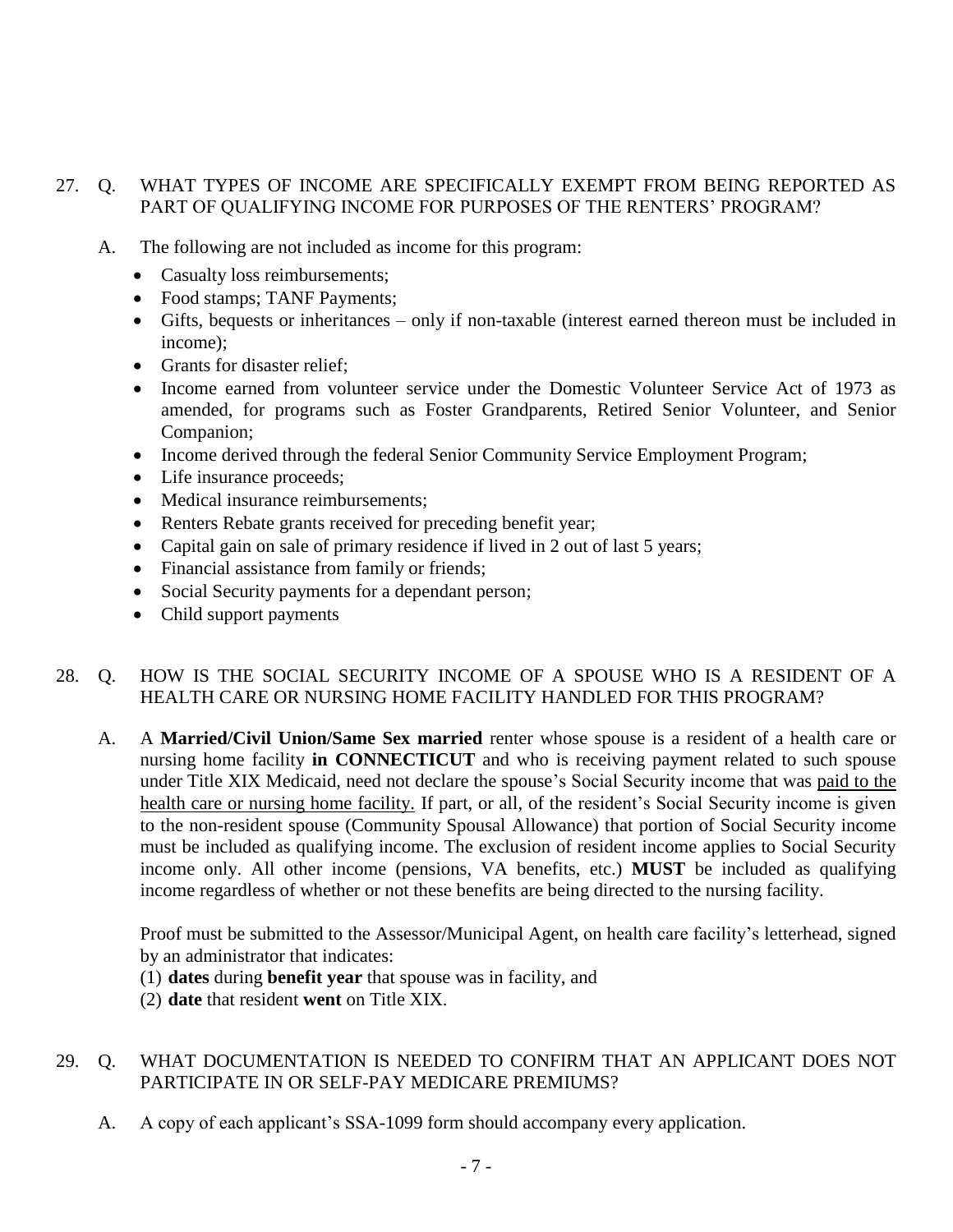#### 27. Q. WHAT TYPES OF INCOME ARE SPECIFICALLY EXEMPT FROM BEING REPORTED AS PART OF QUALIFYING INCOME FOR PURPOSES OF THE RENTERS' PROGRAM?

- A. The following are not included as income for this program:
	- Casualty loss reimbursements;
	- Food stamps; TANF Payments;
	- Gifts, bequests or inheritances only if non-taxable (interest earned thereon must be included in income);
	- Grants for disaster relief:
	- Income earned from volunteer service under the Domestic Volunteer Service Act of 1973 as amended, for programs such as Foster Grandparents, Retired Senior Volunteer, and Senior Companion;
	- Income derived through the federal Senior Community Service Employment Program;
	- Life insurance proceeds;
	- Medical insurance reimbursements:
	- Renters Rebate grants received for preceding benefit year;
	- Capital gain on sale of primary residence if lived in 2 out of last 5 years;
	- Financial assistance from family or friends;
	- Social Security payments for a dependant person;
	- Child support payments

#### 28. Q. HOW IS THE SOCIAL SECURITY INCOME OF A SPOUSE WHO IS A RESIDENT OF A HEALTH CARE OR NURSING HOME FACILITY HANDLED FOR THIS PROGRAM?

A. A **Married/Civil Union/Same Sex married** renter whose spouse is a resident of a health care or nursing home facility **in CONNECTICUT** and who is receiving payment related to such spouse under Title XIX Medicaid, need not declare the spouse's Social Security income that was paid to the health care or nursing home facility. If part, or all, of the resident's Social Security income is given to the non-resident spouse (Community Spousal Allowance) that portion of Social Security income must be included as qualifying income. The exclusion of resident income applies to Social Security income only. All other income (pensions, VA benefits, etc.) **MUST** be included as qualifying income regardless of whether or not these benefits are being directed to the nursing facility.

Proof must be submitted to the Assessor/Municipal Agent, on health care facility's letterhead, signed by an administrator that indicates:

(1) **dates** during **benefit year** that spouse was in facility, and

(2) **date** that resident **went** on Title XIX.

#### 29. Q. WHAT DOCUMENTATION IS NEEDED TO CONFIRM THAT AN APPLICANT DOES NOT PARTICIPATE IN OR SELF-PAY MEDICARE PREMIUMS?

A. A copy of each applicant's SSA-1099 form should accompany every application.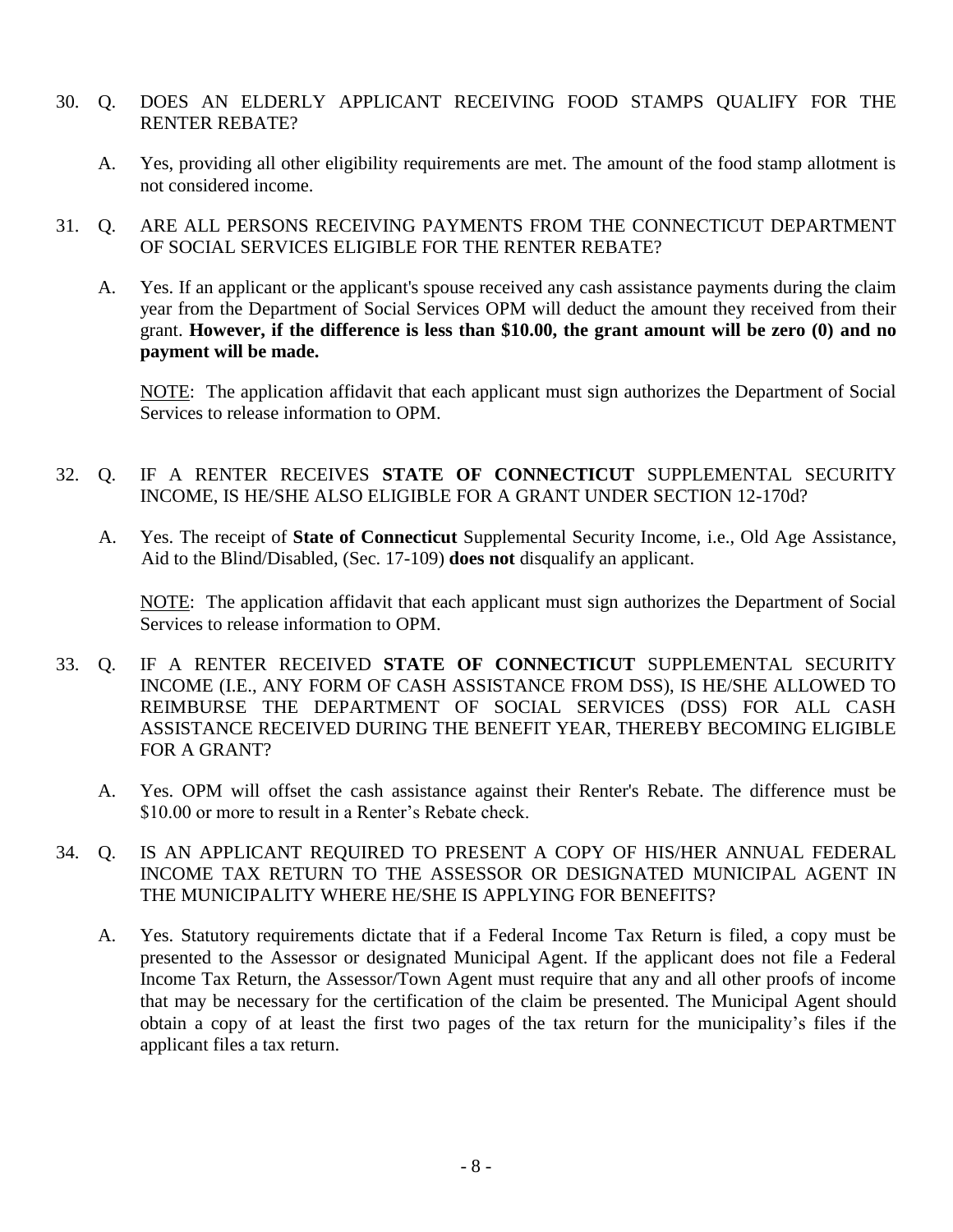- 30. Q. DOES AN ELDERLY APPLICANT RECEIVING FOOD STAMPS QUALIFY FOR THE RENTER REBATE?
	- A. Yes, providing all other eligibility requirements are met. The amount of the food stamp allotment is not considered income.
- 31. Q. ARE ALL PERSONS RECEIVING PAYMENTS FROM THE CONNECTICUT DEPARTMENT OF SOCIAL SERVICES ELIGIBLE FOR THE RENTER REBATE?
	- A. Yes. If an applicant or the applicant's spouse received any cash assistance payments during the claim year from the Department of Social Services OPM will deduct the amount they received from their grant. **However, if the difference is less than \$10.00, the grant amount will be zero (0) and no payment will be made.**

NOTE: The application affidavit that each applicant must sign authorizes the Department of Social Services to release information to OPM.

#### 32. Q. IF A RENTER RECEIVES **STATE OF CONNECTICUT** SUPPLEMENTAL SECURITY INCOME, IS HE/SHE ALSO ELIGIBLE FOR A GRANT UNDER SECTION 12-170d?

A. Yes. The receipt of **State of Connecticut** Supplemental Security Income, i.e., Old Age Assistance, Aid to the Blind/Disabled, (Sec. 17-109) **does not** disqualify an applicant.

NOTE: The application affidavit that each applicant must sign authorizes the Department of Social Services to release information to OPM.

- 33. Q. IF A RENTER RECEIVED **STATE OF CONNECTICUT** SUPPLEMENTAL SECURITY INCOME (I.E., ANY FORM OF CASH ASSISTANCE FROM DSS), IS HE/SHE ALLOWED TO REIMBURSE THE DEPARTMENT OF SOCIAL SERVICES (DSS) FOR ALL CASH ASSISTANCE RECEIVED DURING THE BENEFIT YEAR, THEREBY BECOMING ELIGIBLE FOR A GRANT?
	- A. Yes. OPM will offset the cash assistance against their Renter's Rebate. The difference must be \$10.00 or more to result in a Renter's Rebate check.
- 34. Q. IS AN APPLICANT REQUIRED TO PRESENT A COPY OF HIS/HER ANNUAL FEDERAL INCOME TAX RETURN TO THE ASSESSOR OR DESIGNATED MUNICIPAL AGENT IN THE MUNICIPALITY WHERE HE/SHE IS APPLYING FOR BENEFITS?
	- A. Yes. Statutory requirements dictate that if a Federal Income Tax Return is filed, a copy must be presented to the Assessor or designated Municipal Agent. If the applicant does not file a Federal Income Tax Return, the Assessor/Town Agent must require that any and all other proofs of income that may be necessary for the certification of the claim be presented. The Municipal Agent should obtain a copy of at least the first two pages of the tax return for the municipality's files if the applicant files a tax return.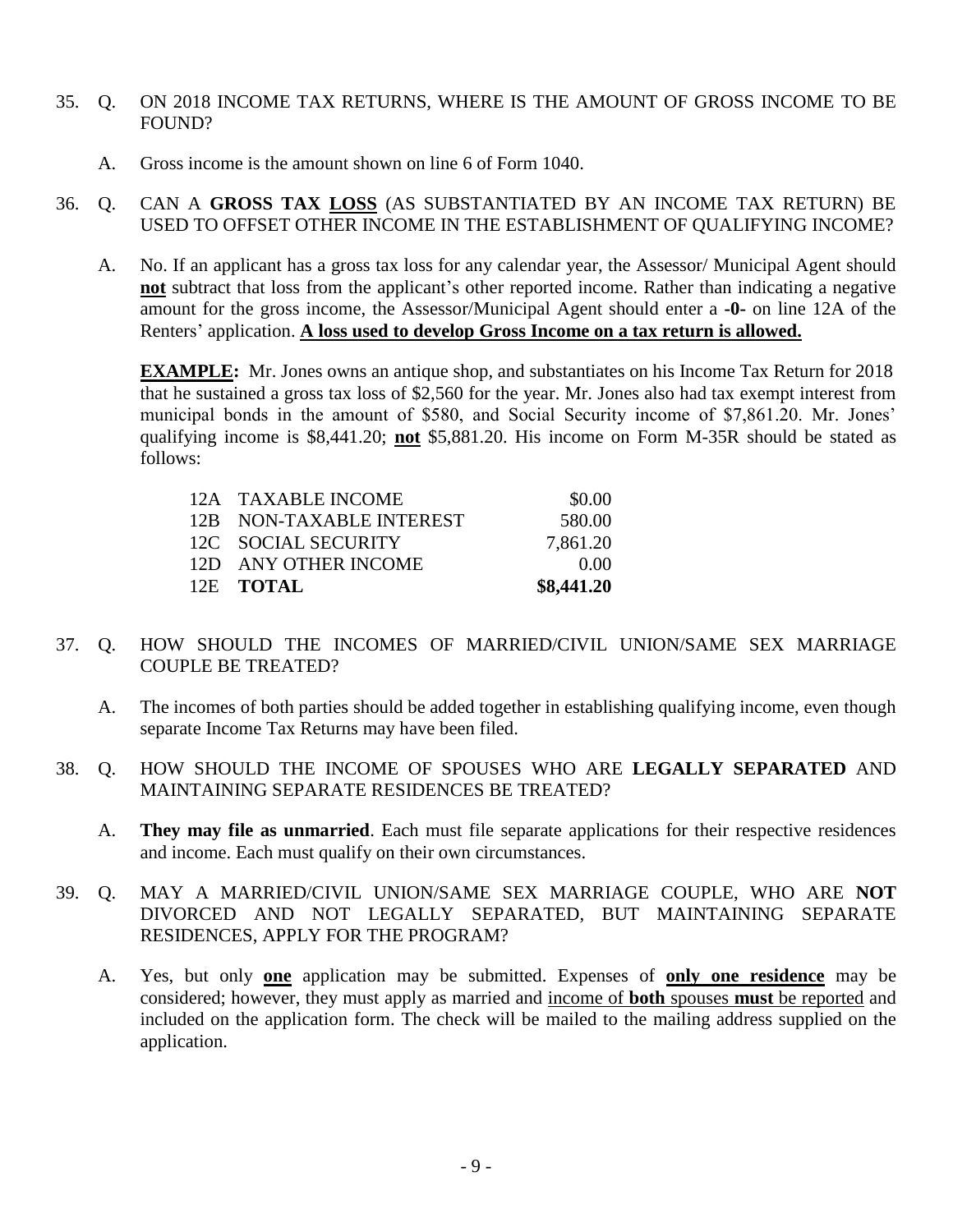- 35. Q. ON 2018 INCOME TAX RETURNS, WHERE IS THE AMOUNT OF GROSS INCOME TO BE FOUND?
	- A. Gross income is the amount shown on line 6 of Form 1040.
- 36. Q. CAN A **GROSS TAX LOSS** (AS SUBSTANTIATED BY AN INCOME TAX RETURN) BE USED TO OFFSET OTHER INCOME IN THE ESTABLISHMENT OF QUALIFYING INCOME?
	- A. No. If an applicant has a gross tax loss for any calendar year, the Assessor/ Municipal Agent should **not** subtract that loss from the applicant's other reported income. Rather than indicating a negative amount for the gross income, the Assessor/Municipal Agent should enter a **-0-** on line 12A of the Renters' application. **A loss used to develop Gross Income on a tax return is allowed.**

**EXAMPLE:** Mr. Jones owns an antique shop, and substantiates on his Income Tax Return for 2018 that he sustained a gross tax loss of \$2,560 for the year. Mr. Jones also had tax exempt interest from municipal bonds in the amount of \$580, and Social Security income of \$7,861.20. Mr. Jones' qualifying income is \$8,441.20; **not** \$5,881.20. His income on Form M-35R should be stated as follows:

| 12E TOTAL                | \$8,441.20 |
|--------------------------|------------|
| 12D ANY OTHER INCOME     | 0.00       |
| 12C SOCIAL SECURITY      | 7,861.20   |
| 12B NON-TAXABLE INTEREST | 580.00     |
| 12A TAXABLE INCOME       | \$0.00     |

- 37. Q. HOW SHOULD THE INCOMES OF MARRIED/CIVIL UNION/SAME SEX MARRIAGE COUPLE BE TREATED?
	- A. The incomes of both parties should be added together in establishing qualifying income, even though separate Income Tax Returns may have been filed.
- 38. Q. HOW SHOULD THE INCOME OF SPOUSES WHO ARE **LEGALLY SEPARATED** AND MAINTAINING SEPARATE RESIDENCES BE TREATED?
	- A. **They may file as unmarried**. Each must file separate applications for their respective residences and income. Each must qualify on their own circumstances.
- 39. Q. MAY A MARRIED/CIVIL UNION/SAME SEX MARRIAGE COUPLE, WHO ARE **NOT** DIVORCED AND NOT LEGALLY SEPARATED, BUT MAINTAINING SEPARATE RESIDENCES, APPLY FOR THE PROGRAM?
	- A. Yes, but only **one** application may be submitted. Expenses of **only one residence** may be considered; however, they must apply as married and income of **both** spouses **must** be reported and included on the application form. The check will be mailed to the mailing address supplied on the application.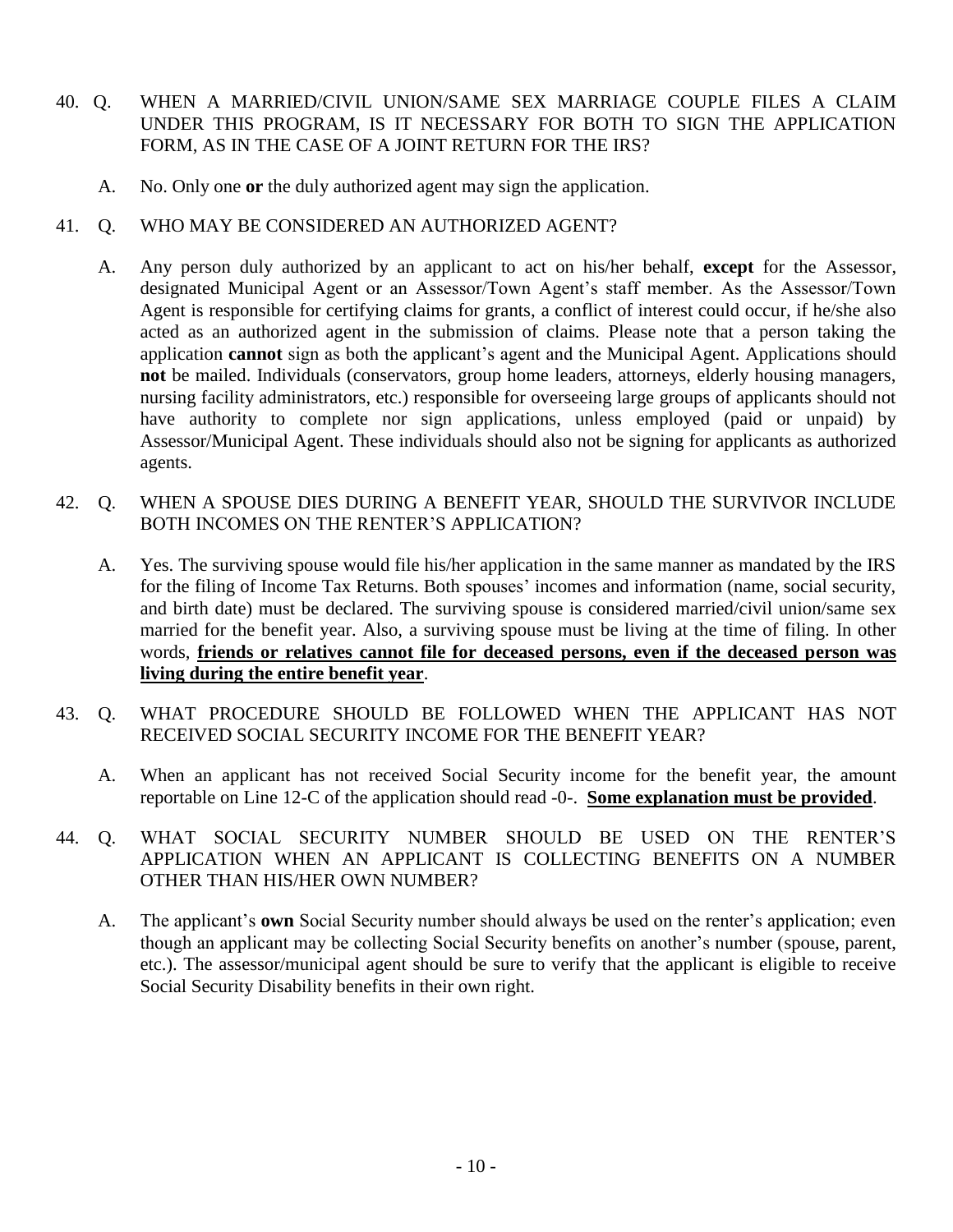- 40. Q. WHEN A MARRIED/CIVIL UNION/SAME SEX MARRIAGE COUPLE FILES A CLAIM UNDER THIS PROGRAM, IS IT NECESSARY FOR BOTH TO SIGN THE APPLICATION FORM, AS IN THE CASE OF A JOINT RETURN FOR THE IRS?
	- A. No. Only one **or** the duly authorized agent may sign the application.
- 41. Q. WHO MAY BE CONSIDERED AN AUTHORIZED AGENT?
	- A. Any person duly authorized by an applicant to act on his/her behalf, **except** for the Assessor, designated Municipal Agent or an Assessor/Town Agent's staff member. As the Assessor/Town Agent is responsible for certifying claims for grants, a conflict of interest could occur, if he/she also acted as an authorized agent in the submission of claims. Please note that a person taking the application **cannot** sign as both the applicant's agent and the Municipal Agent. Applications should **not** be mailed. Individuals (conservators, group home leaders, attorneys, elderly housing managers, nursing facility administrators, etc.) responsible for overseeing large groups of applicants should not have authority to complete nor sign applications, unless employed (paid or unpaid) by Assessor/Municipal Agent. These individuals should also not be signing for applicants as authorized agents.
- 42. Q. WHEN A SPOUSE DIES DURING A BENEFIT YEAR, SHOULD THE SURVIVOR INCLUDE BOTH INCOMES ON THE RENTER'S APPLICATION?
	- A. Yes. The surviving spouse would file his/her application in the same manner as mandated by the IRS for the filing of Income Tax Returns. Both spouses' incomes and information (name, social security, and birth date) must be declared. The surviving spouse is considered married/civil union/same sex married for the benefit year. Also, a surviving spouse must be living at the time of filing. In other words, **friends or relatives cannot file for deceased persons, even if the deceased person was living during the entire benefit year**.
- 43. Q. WHAT PROCEDURE SHOULD BE FOLLOWED WHEN THE APPLICANT HAS NOT RECEIVED SOCIAL SECURITY INCOME FOR THE BENEFIT YEAR?
	- A. When an applicant has not received Social Security income for the benefit year, the amount reportable on Line 12-C of the application should read -0-. **Some explanation must be provided**.
- 44. Q. WHAT SOCIAL SECURITY NUMBER SHOULD BE USED ON THE RENTER'S APPLICATION WHEN AN APPLICANT IS COLLECTING BENEFITS ON A NUMBER OTHER THAN HIS/HER OWN NUMBER?
	- A. The applicant's **own** Social Security number should always be used on the renter's application; even though an applicant may be collecting Social Security benefits on another's number (spouse, parent, etc.). The assessor/municipal agent should be sure to verify that the applicant is eligible to receive Social Security Disability benefits in their own right.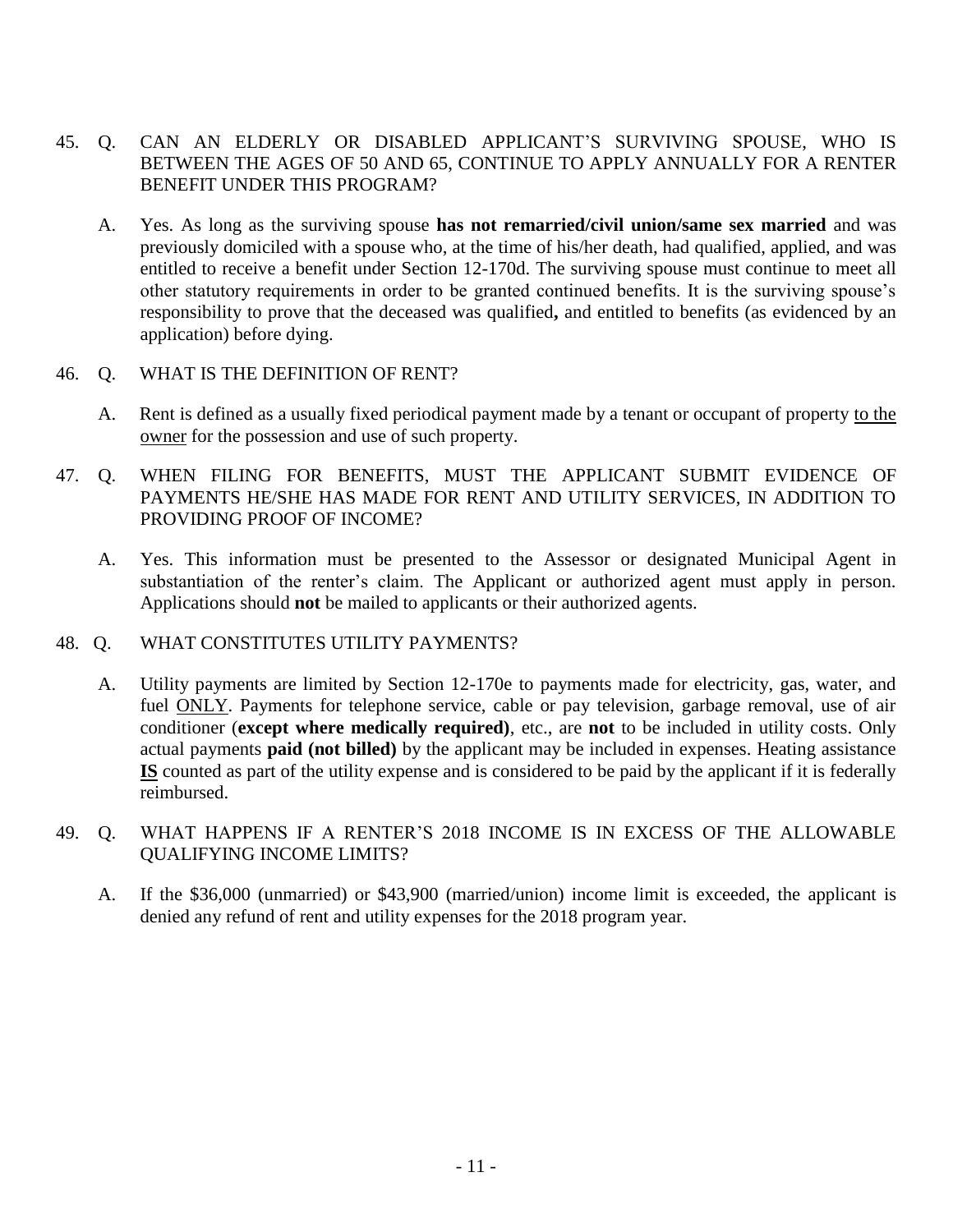- 45. Q. CAN AN ELDERLY OR DISABLED APPLICANT'S SURVIVING SPOUSE, WHO IS BETWEEN THE AGES OF 50 AND 65, CONTINUE TO APPLY ANNUALLY FOR A RENTER BENEFIT UNDER THIS PROGRAM?
	- A. Yes. As long as the surviving spouse **has not remarried/civil union/same sex married** and was previously domiciled with a spouse who, at the time of his/her death, had qualified, applied, and was entitled to receive a benefit under Section 12-170d. The surviving spouse must continue to meet all other statutory requirements in order to be granted continued benefits. It is the surviving spouse's responsibility to prove that the deceased was qualified**,** and entitled to benefits (as evidenced by an application) before dying.

#### 46. Q. WHAT IS THE DEFINITION OF RENT?

- A. Rent is defined as a usually fixed periodical payment made by a tenant or occupant of property to the owner for the possession and use of such property.
- 47. Q. WHEN FILING FOR BENEFITS, MUST THE APPLICANT SUBMIT EVIDENCE OF PAYMENTS HE/SHE HAS MADE FOR RENT AND UTILITY SERVICES, IN ADDITION TO PROVIDING PROOF OF INCOME?
	- A. Yes. This information must be presented to the Assessor or designated Municipal Agent in substantiation of the renter's claim. The Applicant or authorized agent must apply in person. Applications should **not** be mailed to applicants or their authorized agents.

#### 48. Q. WHAT CONSTITUTES UTILITY PAYMENTS?

- A. Utility payments are limited by Section 12-170e to payments made for electricity, gas, water, and fuel ONLY. Payments for telephone service, cable or pay television, garbage removal, use of air conditioner (**except where medically required)**, etc., are **not** to be included in utility costs. Only actual payments **paid (not billed)** by the applicant may be included in expenses. Heating assistance **IS** counted as part of the utility expense and is considered to be paid by the applicant if it is federally reimbursed.
- 49. Q. WHAT HAPPENS IF A RENTER'S 2018 INCOME IS IN EXCESS OF THE ALLOWABLE QUALIFYING INCOME LIMITS?
	- A. If the \$36,000 (unmarried) or \$43,900 (married/union) income limit is exceeded, the applicant is denied any refund of rent and utility expenses for the 2018 program year.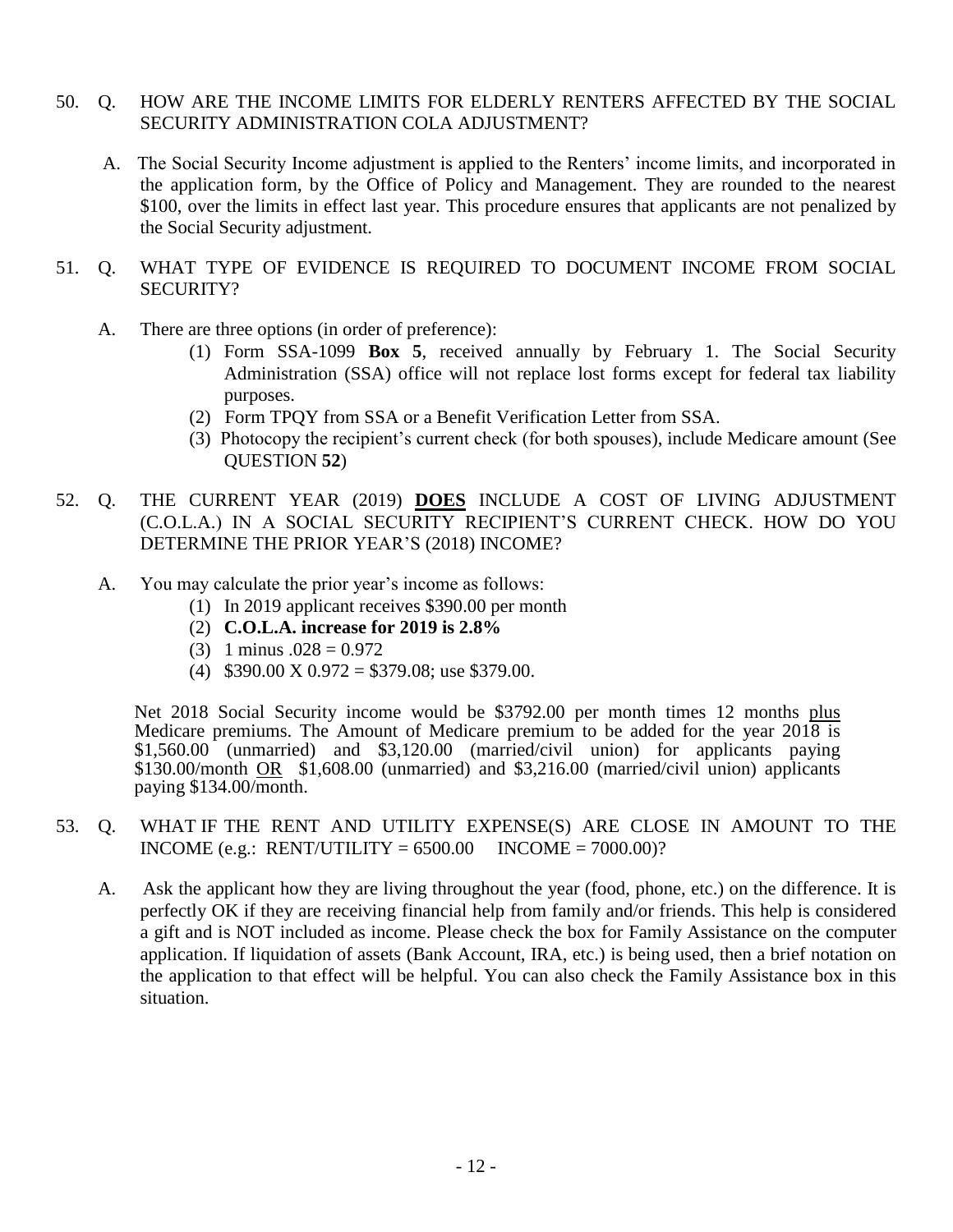#### 50. Q. HOW ARE THE INCOME LIMITS FOR ELDERLY RENTERS AFFECTED BY THE SOCIAL SECURITY ADMINISTRATION COLA ADJUSTMENT?

- A. The Social Security Income adjustment is applied to the Renters' income limits, and incorporated in the application form, by the Office of Policy and Management. They are rounded to the nearest \$100, over the limits in effect last year. This procedure ensures that applicants are not penalized by the Social Security adjustment.
- 51. Q. WHAT TYPE OF EVIDENCE IS REQUIRED TO DOCUMENT INCOME FROM SOCIAL SECURITY?
	- A. There are three options (in order of preference):
		- (1) Form SSA-1099 **Box 5**, received annually by February 1. The Social Security Administration (SSA) office will not replace lost forms except for federal tax liability purposes.
		- (2) Form TPQY from SSA or a Benefit Verification Letter from SSA.
		- (3) Photocopy the recipient's current check (for both spouses), include Medicare amount (See QUESTION **52**)
- 52. Q. THE CURRENT YEAR (2019) **DOES** INCLUDE A COST OF LIVING ADJUSTMENT (C.O.L.A.) IN A SOCIAL SECURITY RECIPIENT'S CURRENT CHECK. HOW DO YOU DETERMINE THE PRIOR YEAR'S (2018) INCOME?
	- A. You may calculate the prior year's income as follows:
		- (1) In 2019 applicant receives \$390.00 per month
		- (2) **C.O.L.A. increase for 2019 is 2.8%**
		- $(3)$  1 minus  $.028 = 0.972$
		- (4)  $$390.00 \text{ X } 0.972 = $379.08$ ; use \$379.00.

Net 2018 Social Security income would be \$3792.00 per month times 12 months plus Medicare premiums. The Amount of Medicare premium to be added for the year 2018 is \$1,560.00 (unmarried) and \$3,120.00 (married/civil union) for applicants paying \$130.00/month OR \$1,608.00 (unmarried) and \$3,216.00 (married/civil union) applicants paying \$134.00/month.

- 53. Q. WHAT IF THE RENT AND UTILITY EXPENSE(S) ARE CLOSE IN AMOUNT TO THE INCOME (e.g.: RENT/UTILITY =  $6500.00$  INCOME =  $7000.00$ )?
	- A. Ask the applicant how they are living throughout the year (food, phone, etc.) on the difference. It is perfectly OK if they are receiving financial help from family and/or friends. This help is considered a gift and is NOT included as income. Please check the box for Family Assistance on the computer application. If liquidation of assets (Bank Account, IRA, etc.) is being used, then a brief notation on the application to that effect will be helpful. You can also check the Family Assistance box in this situation.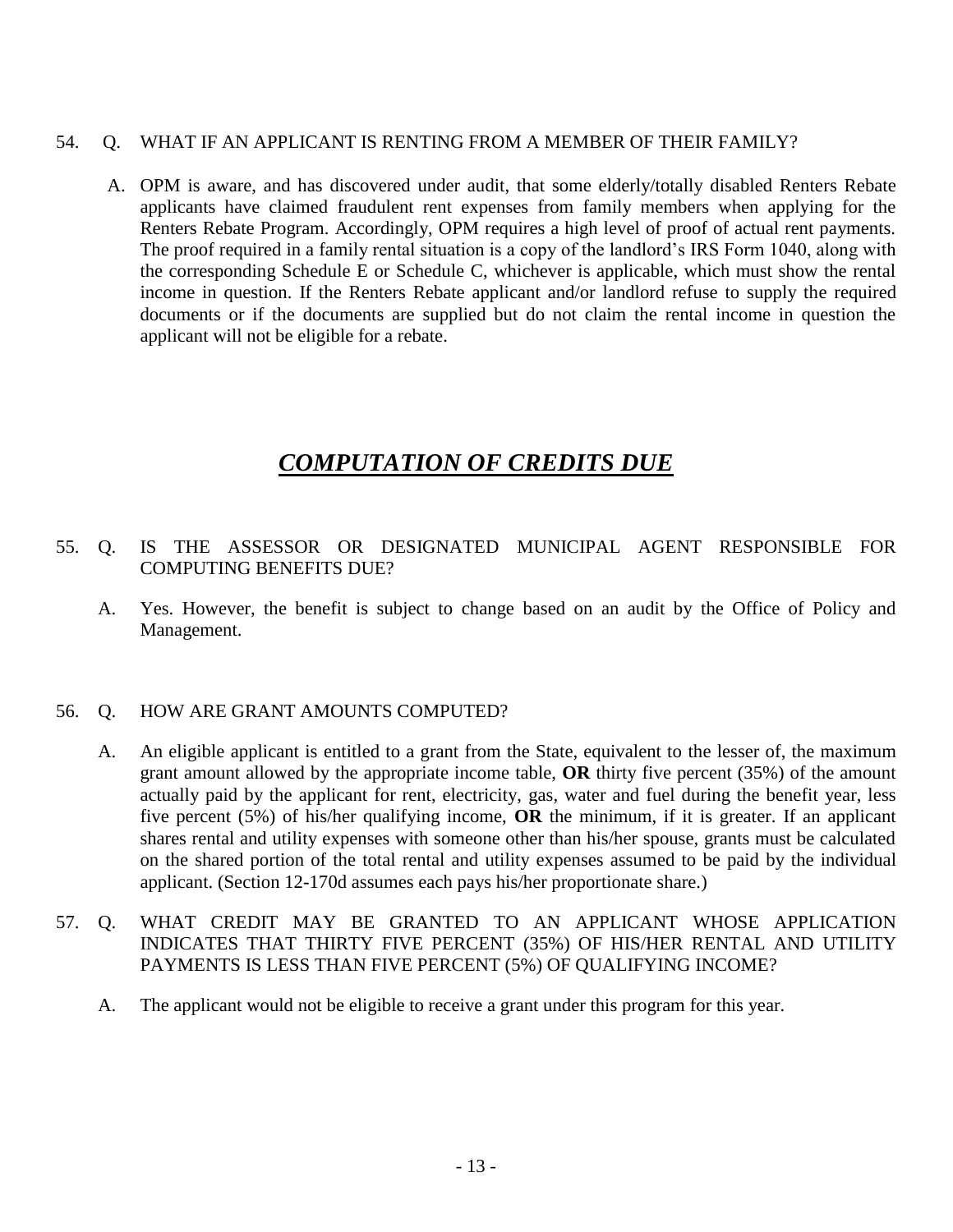#### 54. Q. WHAT IF AN APPLICANT IS RENTING FROM A MEMBER OF THEIR FAMILY?

A. OPM is aware, and has discovered under audit, that some elderly/totally disabled Renters Rebate applicants have claimed fraudulent rent expenses from family members when applying for the Renters Rebate Program. Accordingly, OPM requires a high level of proof of actual rent payments. The proof required in a family rental situation is a copy of the landlord's IRS Form 1040, along with the corresponding Schedule E or Schedule C, whichever is applicable, which must show the rental income in question. If the Renters Rebate applicant and/or landlord refuse to supply the required documents or if the documents are supplied but do not claim the rental income in question the applicant will not be eligible for a rebate.

### *COMPUTATION OF CREDITS DUE*

#### 55. Q. IS THE ASSESSOR OR DESIGNATED MUNICIPAL AGENT RESPONSIBLE FOR COMPUTING BENEFITS DUE?

A. Yes. However, the benefit is subject to change based on an audit by the Office of Policy and Management.

#### 56. Q. HOW ARE GRANT AMOUNTS COMPUTED?

- A. An eligible applicant is entitled to a grant from the State, equivalent to the lesser of, the maximum grant amount allowed by the appropriate income table, **OR** thirty five percent (35%) of the amount actually paid by the applicant for rent, electricity, gas, water and fuel during the benefit year, less five percent (5%) of his/her qualifying income, **OR** the minimum, if it is greater. If an applicant shares rental and utility expenses with someone other than his/her spouse, grants must be calculated on the shared portion of the total rental and utility expenses assumed to be paid by the individual applicant. (Section 12-170d assumes each pays his/her proportionate share.)
- 57. Q. WHAT CREDIT MAY BE GRANTED TO AN APPLICANT WHOSE APPLICATION INDICATES THAT THIRTY FIVE PERCENT (35%) OF HIS/HER RENTAL AND UTILITY PAYMENTS IS LESS THAN FIVE PERCENT (5%) OF QUALIFYING INCOME?
	- A. The applicant would not be eligible to receive a grant under this program for this year.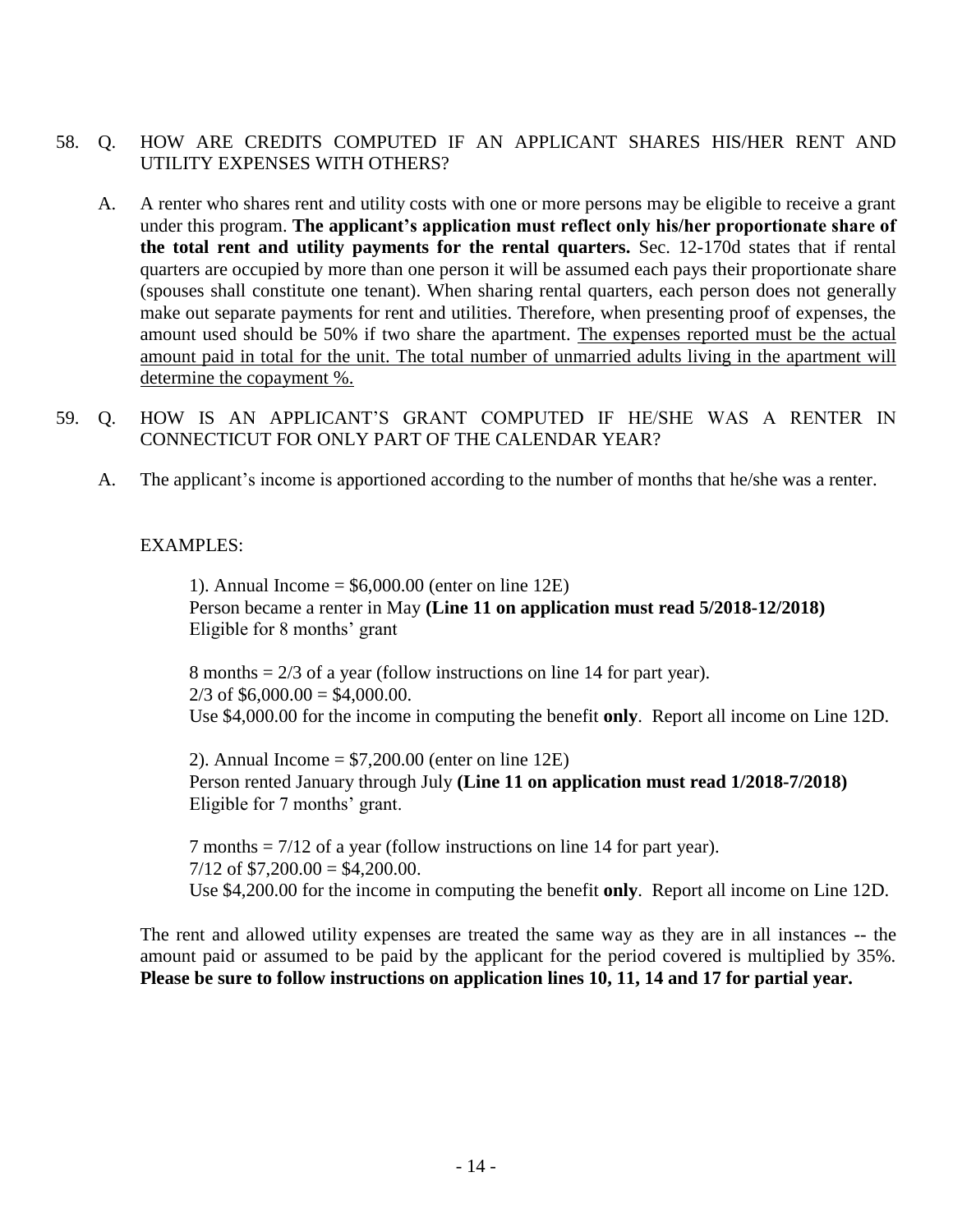#### 58. Q. HOW ARE CREDITS COMPUTED IF AN APPLICANT SHARES HIS/HER RENT AND UTILITY EXPENSES WITH OTHERS?

- A. A renter who shares rent and utility costs with one or more persons may be eligible to receive a grant under this program. **The applicant's application must reflect only his/her proportionate share of the total rent and utility payments for the rental quarters.** Sec. 12-170d states that if rental quarters are occupied by more than one person it will be assumed each pays their proportionate share (spouses shall constitute one tenant). When sharing rental quarters, each person does not generally make out separate payments for rent and utilities. Therefore, when presenting proof of expenses, the amount used should be 50% if two share the apartment. The expenses reported must be the actual amount paid in total for the unit. The total number of unmarried adults living in the apartment will determine the copayment %.
- 59. Q. HOW IS AN APPLICANT'S GRANT COMPUTED IF HE/SHE WAS A RENTER IN CONNECTICUT FOR ONLY PART OF THE CALENDAR YEAR?
	- A. The applicant's income is apportioned according to the number of months that he/she was a renter.

#### EXAMPLES:

1). Annual Income =  $$6,000.00$  (enter on line 12E) Person became a renter in May **(Line 11 on application must read 5/2018-12/2018)** Eligible for 8 months' grant

8 months = 2/3 of a year (follow instructions on line 14 for part year).  $2/3$  of \$6,000.00 = \$4,000.00. Use \$4,000.00 for the income in computing the benefit **only**. Report all income on Line 12D.

2). Annual Income =  $$7,200.00$  (enter on line 12E) Person rented January through July **(Line 11 on application must read 1/2018-7/2018)** Eligible for 7 months' grant.

7 months = 7/12 of a year (follow instructions on line 14 for part year).  $7/12$  of  $$7,200.00 = $4,200.00$ . Use \$4,200.00 for the income in computing the benefit **only**. Report all income on Line 12D.

The rent and allowed utility expenses are treated the same way as they are in all instances -- the amount paid or assumed to be paid by the applicant for the period covered is multiplied by 35%. **Please be sure to follow instructions on application lines 10, 11, 14 and 17 for partial year.**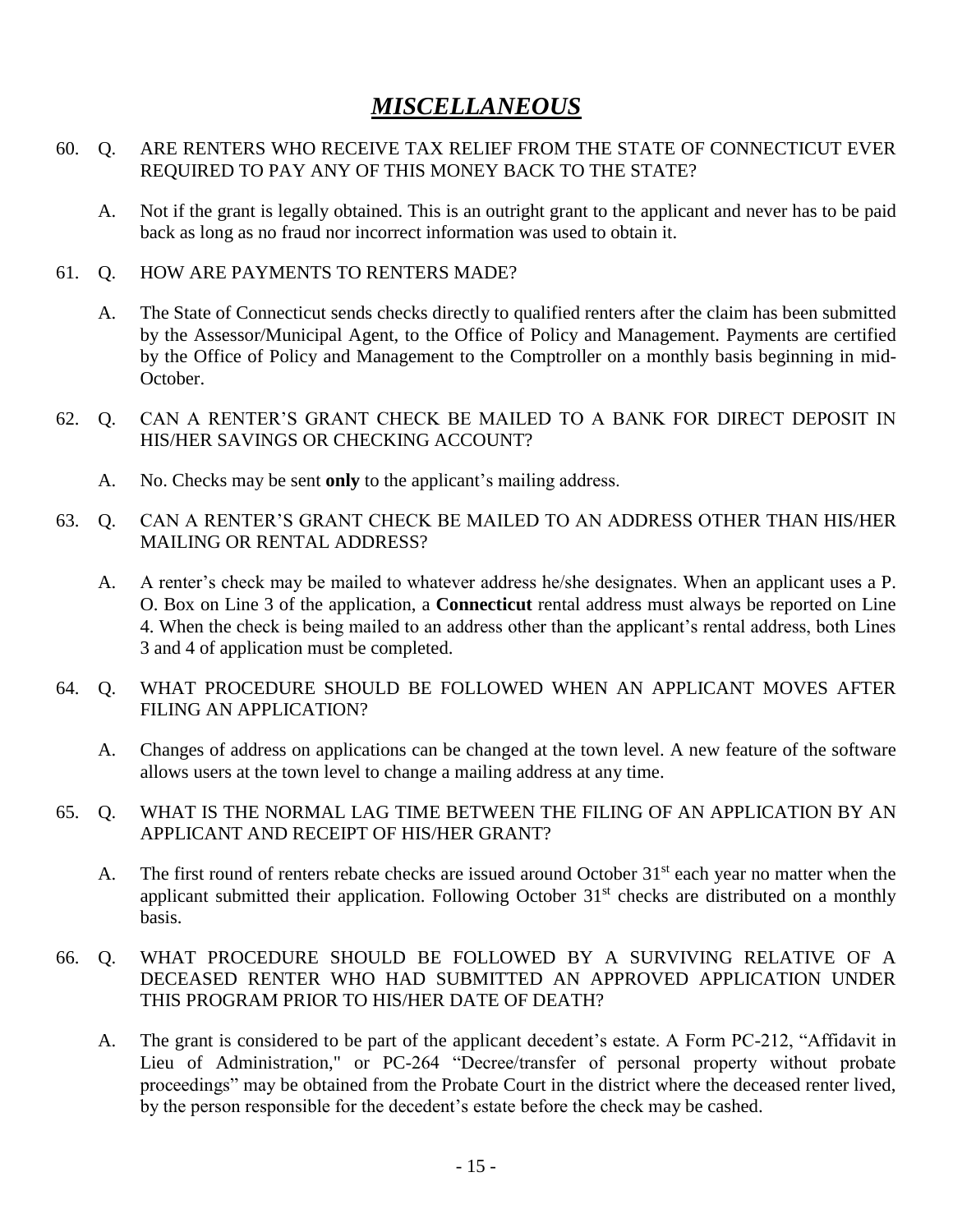### *MISCELLANEOUS*

#### 60. Q. ARE RENTERS WHO RECEIVE TAX RELIEF FROM THE STATE OF CONNECTICUT EVER REQUIRED TO PAY ANY OF THIS MONEY BACK TO THE STATE?

A. Not if the grant is legally obtained. This is an outright grant to the applicant and never has to be paid back as long as no fraud nor incorrect information was used to obtain it.

#### 61. Q. HOW ARE PAYMENTS TO RENTERS MADE?

- A. The State of Connecticut sends checks directly to qualified renters after the claim has been submitted by the Assessor/Municipal Agent, to the Office of Policy and Management. Payments are certified by the Office of Policy and Management to the Comptroller on a monthly basis beginning in mid-October.
- 62. Q. CAN A RENTER'S GRANT CHECK BE MAILED TO A BANK FOR DIRECT DEPOSIT IN HIS/HER SAVINGS OR CHECKING ACCOUNT?
	- A. No. Checks may be sent **only** to the applicant's mailing address.
- 63. Q. CAN A RENTER'S GRANT CHECK BE MAILED TO AN ADDRESS OTHER THAN HIS/HER MAILING OR RENTAL ADDRESS?
	- A. A renter's check may be mailed to whatever address he/she designates. When an applicant uses a P. O. Box on Line 3 of the application, a **Connecticut** rental address must always be reported on Line 4. When the check is being mailed to an address other than the applicant's rental address, both Lines 3 and 4 of application must be completed.
- 64. Q. WHAT PROCEDURE SHOULD BE FOLLOWED WHEN AN APPLICANT MOVES AFTER FILING AN APPLICATION?
	- A. Changes of address on applications can be changed at the town level. A new feature of the software allows users at the town level to change a mailing address at any time.
- 65. Q. WHAT IS THE NORMAL LAG TIME BETWEEN THE FILING OF AN APPLICATION BY AN APPLICANT AND RECEIPT OF HIS/HER GRANT?
	- A. The first round of renters rebate checks are issued around October  $31<sup>st</sup>$  each year no matter when the applicant submitted their application. Following October 31<sup>st</sup> checks are distributed on a monthly basis.
- 66. Q. WHAT PROCEDURE SHOULD BE FOLLOWED BY A SURVIVING RELATIVE OF A DECEASED RENTER WHO HAD SUBMITTED AN APPROVED APPLICATION UNDER THIS PROGRAM PRIOR TO HIS/HER DATE OF DEATH?
	- A. The grant is considered to be part of the applicant decedent's estate. A Form PC-212, "Affidavit in Lieu of Administration," or PC-264 "Decree/transfer of personal property without probate proceedings" may be obtained from the Probate Court in the district where the deceased renter lived, by the person responsible for the decedent's estate before the check may be cashed.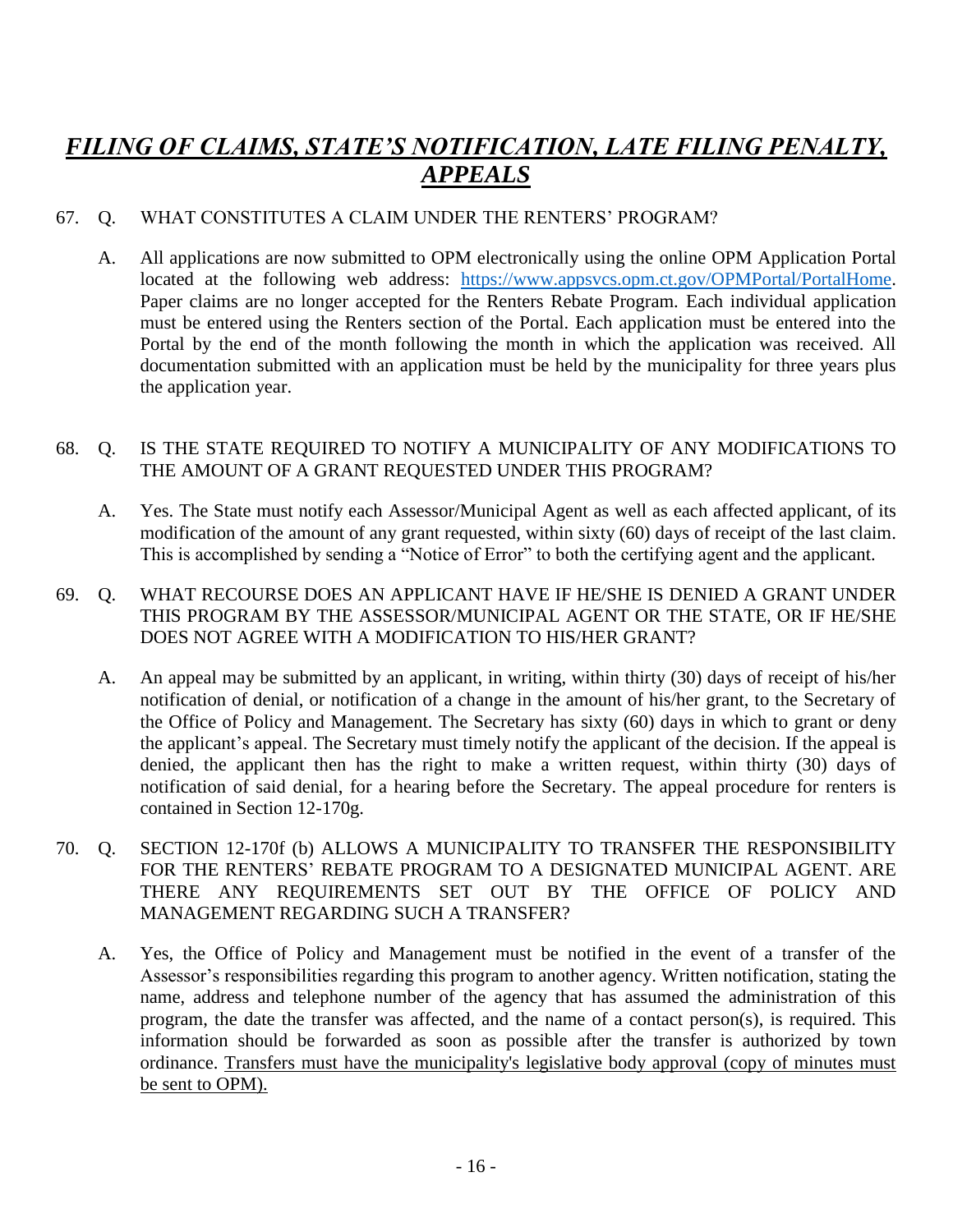### *FILING OF CLAIMS, STATE'S NOTIFICATION, LATE FILING PENALTY, APPEALS*

#### 67. Q. WHAT CONSTITUTES A CLAIM UNDER THE RENTERS' PROGRAM?

A. All applications are now submitted to OPM electronically using the online OPM Application Portal located at the following web address: [https://www.appsvcs.opm.ct.gov/OPMPortal/PortalHome.](https://www.appsvcs.opm.ct.gov/OPMPortal/PortalHome) Paper claims are no longer accepted for the Renters Rebate Program. Each individual application must be entered using the Renters section of the Portal. Each application must be entered into the Portal by the end of the month following the month in which the application was received. All documentation submitted with an application must be held by the municipality for three years plus the application year.

#### 68. Q. IS THE STATE REQUIRED TO NOTIFY A MUNICIPALITY OF ANY MODIFICATIONS TO THE AMOUNT OF A GRANT REQUESTED UNDER THIS PROGRAM?

- A. Yes. The State must notify each Assessor/Municipal Agent as well as each affected applicant, of its modification of the amount of any grant requested, within sixty (60) days of receipt of the last claim. This is accomplished by sending a "Notice of Error" to both the certifying agent and the applicant.
- 69. Q. WHAT RECOURSE DOES AN APPLICANT HAVE IF HE/SHE IS DENIED A GRANT UNDER THIS PROGRAM BY THE ASSESSOR/MUNICIPAL AGENT OR THE STATE, OR IF HE/SHE DOES NOT AGREE WITH A MODIFICATION TO HIS/HER GRANT?
	- A. An appeal may be submitted by an applicant, in writing, within thirty (30) days of receipt of his/her notification of denial, or notification of a change in the amount of his/her grant, to the Secretary of the Office of Policy and Management. The Secretary has sixty (60) days in which to grant or deny the applicant's appeal. The Secretary must timely notify the applicant of the decision. If the appeal is denied, the applicant then has the right to make a written request, within thirty (30) days of notification of said denial, for a hearing before the Secretary. The appeal procedure for renters is contained in Section 12-170g.
- 70. Q. SECTION 12-170f (b) ALLOWS A MUNICIPALITY TO TRANSFER THE RESPONSIBILITY FOR THE RENTERS' REBATE PROGRAM TO A DESIGNATED MUNICIPAL AGENT. ARE THERE ANY REQUIREMENTS SET OUT BY THE OFFICE OF POLICY AND MANAGEMENT REGARDING SUCH A TRANSFER?
	- A. Yes, the Office of Policy and Management must be notified in the event of a transfer of the Assessor's responsibilities regarding this program to another agency. Written notification, stating the name, address and telephone number of the agency that has assumed the administration of this program, the date the transfer was affected, and the name of a contact person(s), is required. This information should be forwarded as soon as possible after the transfer is authorized by town ordinance. Transfers must have the municipality's legislative body approval (copy of minutes must be sent to OPM).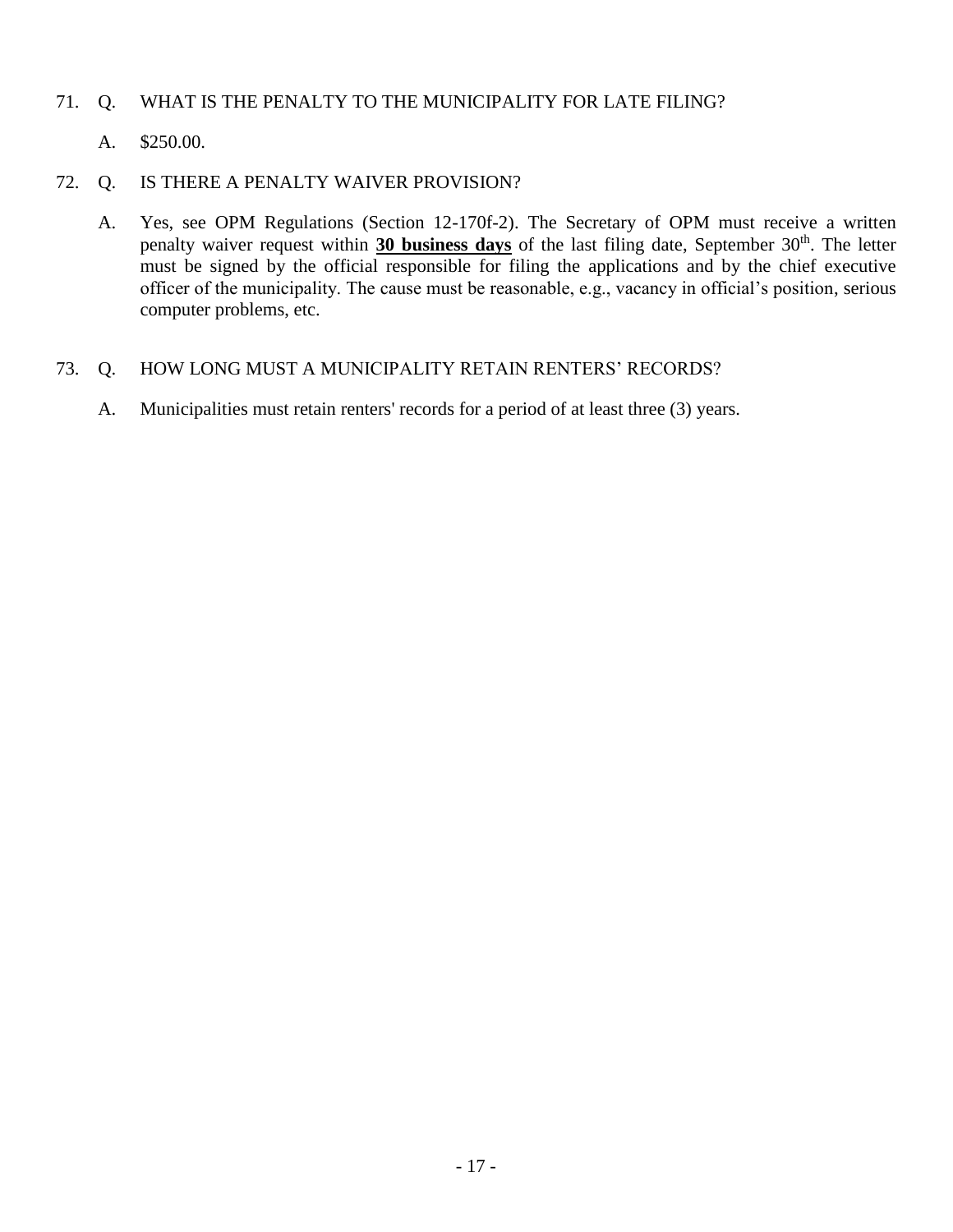#### 71. Q. WHAT IS THE PENALTY TO THE MUNICIPALITY FOR LATE FILING?

A. \$250.00.

#### 72. Q. IS THERE A PENALTY WAIVER PROVISION?

A. Yes, see OPM Regulations (Section 12-170f-2). The Secretary of OPM must receive a written penalty waiver request within 30 business days of the last filing date, September 30<sup>th</sup>. The letter must be signed by the official responsible for filing the applications and by the chief executive officer of the municipality. The cause must be reasonable, e.g., vacancy in official's position, serious computer problems, etc.

#### 73. Q. HOW LONG MUST A MUNICIPALITY RETAIN RENTERS' RECORDS?

A. Municipalities must retain renters' records for a period of at least three (3) years.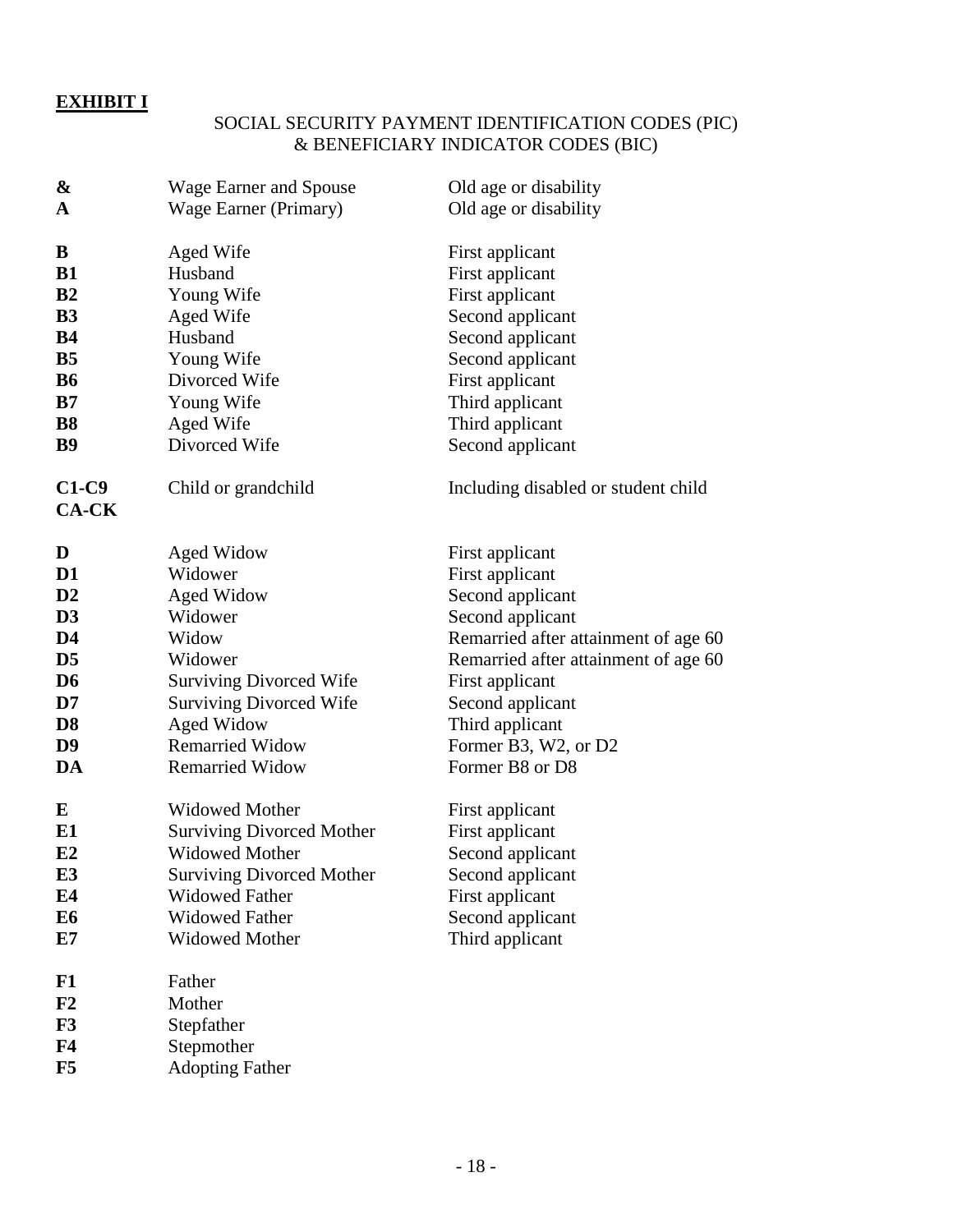### **EXHIBIT I**

#### SOCIAL SECURITY PAYMENT IDENTIFICATION CODES (PIC) & BENEFICIARY INDICATOR CODES (BIC)

| &                       | <b>Wage Earner and Spouse</b>    | Old age or disability                |  |
|-------------------------|----------------------------------|--------------------------------------|--|
| $\mathbf A$             | Wage Earner (Primary)            | Old age or disability                |  |
| B                       | Aged Wife                        | First applicant                      |  |
| <b>B1</b>               | Husband                          | First applicant                      |  |
| B <sub>2</sub>          | Young Wife                       | First applicant                      |  |
| <b>B3</b>               | Aged Wife                        | Second applicant                     |  |
| <b>B4</b>               | Husband                          | Second applicant                     |  |
| B <sub>5</sub>          | Young Wife                       | Second applicant                     |  |
| <b>B6</b>               | Divorced Wife                    | First applicant                      |  |
| B7                      | Young Wife                       | Third applicant                      |  |
| <b>B8</b>               | Aged Wife                        | Third applicant                      |  |
| <b>B9</b>               | Divorced Wife                    | Second applicant                     |  |
| $C1-C9$<br><b>CA-CK</b> | Child or grandchild              | Including disabled or student child  |  |
|                         |                                  |                                      |  |
| D                       | Aged Widow                       | First applicant                      |  |
| D <sub>1</sub>          | Widower                          | First applicant                      |  |
| D2                      | Aged Widow                       | Second applicant                     |  |
| D <sub>3</sub>          | Widower                          | Second applicant                     |  |
| D <sub>4</sub>          | Widow                            | Remarried after attainment of age 60 |  |
| D <sub>5</sub>          | Widower                          | Remarried after attainment of age 60 |  |
| D <sub>6</sub>          | <b>Surviving Divorced Wife</b>   | First applicant                      |  |
| D7                      | <b>Surviving Divorced Wife</b>   | Second applicant                     |  |
| D <sub>8</sub>          | <b>Aged Widow</b>                | Third applicant                      |  |
| D <sub>9</sub>          | <b>Remarried Widow</b>           | Former B3, W2, or D2                 |  |
| DA                      | <b>Remarried Widow</b>           | Former B8 or D8                      |  |
| E                       | <b>Widowed Mother</b>            | First applicant                      |  |
| E1                      | <b>Surviving Divorced Mother</b> | First applicant                      |  |
| E2                      | <b>Widowed Mother</b>            | Second applicant                     |  |
| E <sub>3</sub>          | <b>Surviving Divorced Mother</b> | Second applicant                     |  |
| E4                      | <b>Widowed Father</b>            | First applicant                      |  |
| E <sub>6</sub>          | <b>Widowed Father</b>            | Second applicant                     |  |
| E7                      | <b>Widowed Mother</b>            | Third applicant                      |  |
| F1                      | Father                           |                                      |  |
| F2                      | Mother                           |                                      |  |
| F3                      | Stepfather                       |                                      |  |
| F <sub>4</sub>          | Stepmother                       |                                      |  |
| F5                      | <b>Adopting Father</b>           |                                      |  |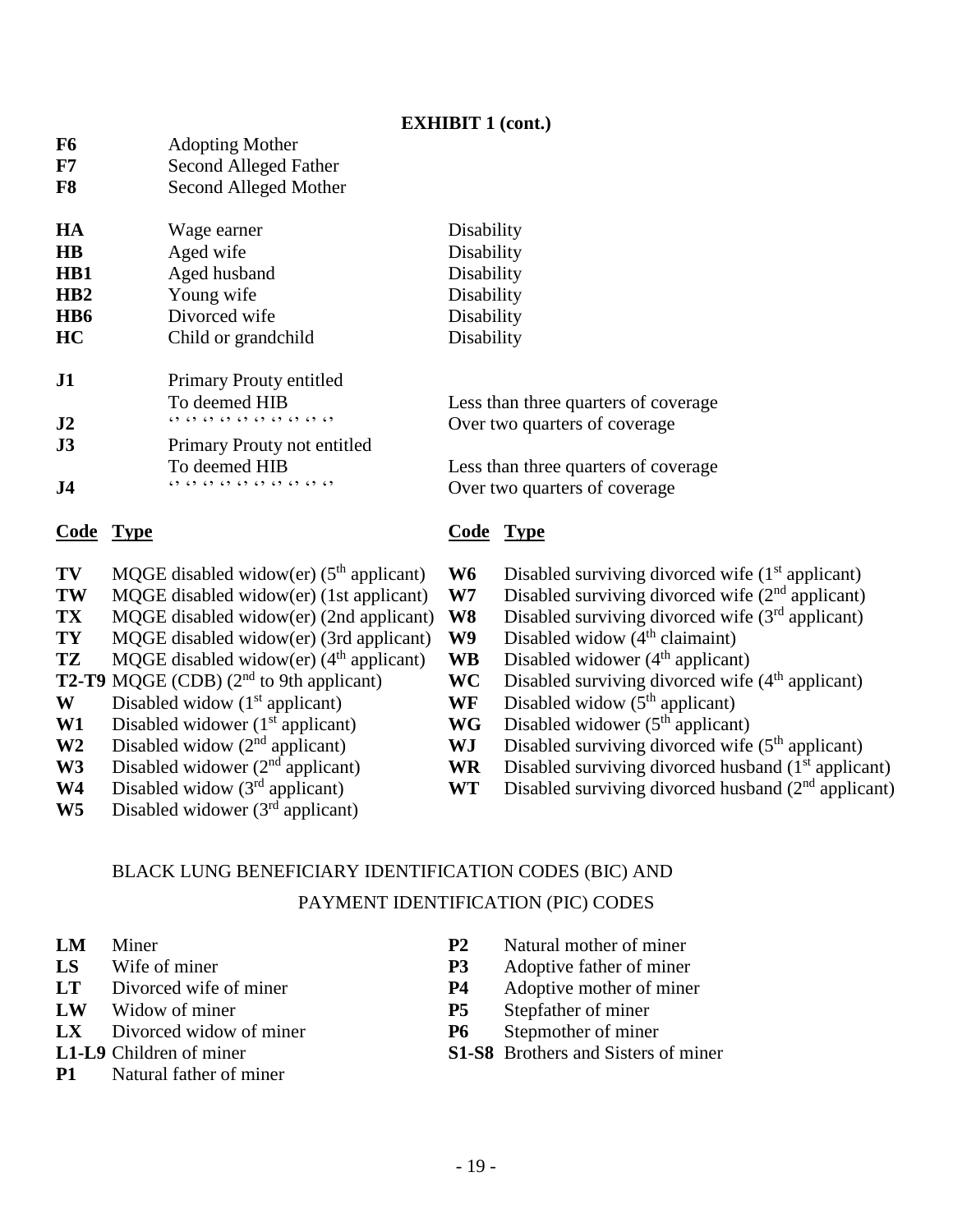#### **EXHIBIT 1 (cont.)**

| F6                     | <b>Adopting Mother</b>                                |                                      |  |
|------------------------|-------------------------------------------------------|--------------------------------------|--|
| ${\bf F7}$             | Second Alleged Father                                 |                                      |  |
| F8                     | Second Alleged Mother                                 |                                      |  |
| HA                     | Wage earner                                           | Disability                           |  |
| $\mathbf{H}\mathbf{B}$ | Aged wife                                             | Disability                           |  |
| HB1                    | Aged husband                                          | Disability                           |  |
| HB2                    | Young wife                                            | Disability                           |  |
| H <sub>B</sub> 6       | Divorced wife                                         | Disability                           |  |
| HC                     | Child or grandchild                                   | Disability                           |  |
| J1                     | Primary Prouty entitled                               |                                      |  |
|                        | To deemed HIB                                         | Less than three quarters of coverage |  |
| J2                     | $(2)$ $(3)$ $(3)$ $(3)$ $(3)$ $(3)$ $(3)$ $(3)$ $(5)$ | Over two quarters of coverage        |  |
| J3                     | Primary Prouty not entitled                           |                                      |  |
|                        | To deemed HIB                                         | Less than three quarters of coverage |  |
| J <sub>4</sub>         | $(2)$ $(3)$ $(3)$ $(3)$ $(3)$ $(3)$ $(3)$ $(3)$       | Over two quarters of coverage        |  |
| Code                   | Type                                                  | Code<br>Type                         |  |
|                        |                                                       |                                      |  |

- 
- **TW** MQGE disabled widow(er) (1st applicant) **W7** Disabled surviving divorced wife (2<sup>nd</sup> applicant)
- 
- **TY** MQGE disabled widow (er) (3rd applicant) **W9**
- **TZ** MQGE disabled widow(er) ( $4^{\text{th}}$  applicant) **WB** Disabled widower ( $4^{\text{th}}$  applicant) **T2-T9** MQGE (CDB) ( $2^{\text{nd}}$  to 9th applicant) **WC** Disabled surviving divorced wife
- 
- **W** Disabled widow ( $1<sup>st</sup>$  applicant) **WF**
- **W1** Disabled widower ( $1<sup>st</sup>$  applicant)<br>**W2** Disabled widow ( $2<sup>nd</sup>$  applicant)
- 
- 
- 
- **W5** Disabled widower (3rd applicant)
- **TV** MQGE disabled widow(er) (5<sup>th</sup> applicant) **W6** Disabled surviving divorced wife (1<sup>st</sup> applicant) **TW** MOGE disabled widow(er) (1st applicant) **W7** Disabled surviving divorced wife (2<sup>nd</sup> applicant)
	-
- **TX** MQGE disabled widow(er) (2nd applicant) **W8** Disabled surviving divorced wife (3<sup>rd</sup> applicant)<br>**TY** MOGE disabled widow(er) (3rd applicant) **W9** Disabled widow (4<sup>th</sup> claimaint)
	-
	-
	- **WC** Disabled surviving divorced wife ( $4<sup>th</sup>$  applicant) **WF** Disabled widow ( $5<sup>th</sup>$  applicant)
		-
	- **WG** Disabled widower (5<sup>th</sup> applicant)
- **W2** Disabled widow (2<sup>nd</sup> applicant) **WJ** Disabled surviving divorced wife (5<sup>th</sup> applicant) **W3** Disabled widower (2<sup>nd</sup> applicant) **WR** Disabled surviving divorced husband (1<sup>st</sup> applicant)
- W3 Disabled widower (2<sup>nd</sup> applicant) **WR** Disabled surviving divorced husband (1<sup>st</sup> applicant)
- W4 Disabled widow (3<sup>rd</sup> applicant) **WT** Disabled surviving divorced husband (2<sup>nd</sup> applicant)

### BLACK LUNG BENEFICIARY IDENTIFICATION CODES (BIC) AND PAYMENT IDENTIFICATION (PIC) CODES

- 
- 
- 
- 
- **LX** Divorced widow of miner **P6** Stepmother of miner
- 
- **P1** Natural father of miner
- **LM** Miner **P2** Natural mother of miner
- **LS** Wife of miner **P3** Adoptive father of miner
- **LT** Divorced wife of miner **P4** Adoptive mother of miner
- **LW** Widow of miner **P5** Stepfather of miner
	-
- **L1-L9** Children of miner **S1-S8** Brothers and Sisters of miner